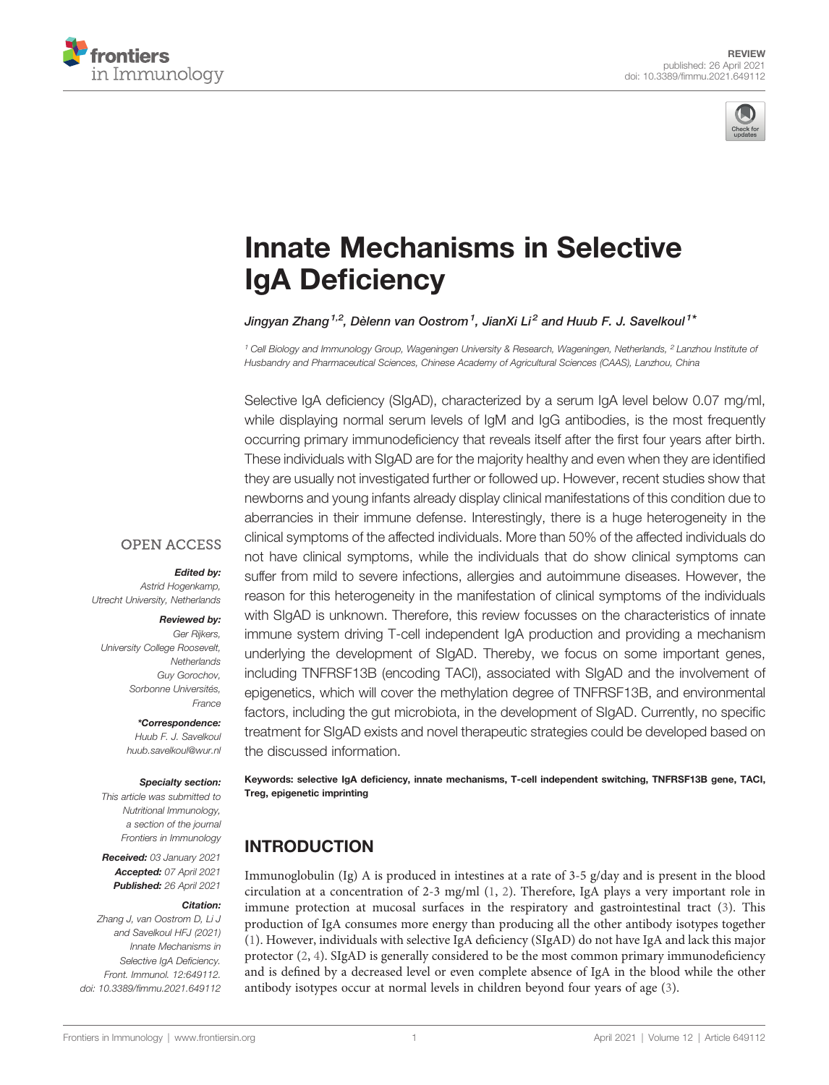



# [Innate Mechanisms in Selective](https://www.frontiersin.org/articles/10.3389/fimmu.2021.649112/full) [IgA De](https://www.frontiersin.org/articles/10.3389/fimmu.2021.649112/full)ficiency

Jingyan Zhang  $^{1,2}$ , Dèlenn van Oostrom  $^1$ , JianXi Li $^2$  and Huub F. J. Savelkoul  $^{1\, \ast}$ 

<sup>1</sup> Cell Biology and Immunology Group, Wageningen University & Research, Wageningen, Netherlands, <sup>2</sup> Lanzhou Institute of Husbandry and Pharmaceutical Sciences, Chinese Academy of Agricultural Sciences (CAAS), Lanzhou, China

Selective IgA deficiency (SIgAD), characterized by a serum IgA level below 0.07 mg/ml, while displaying normal serum levels of IgM and IgG antibodies, is the most frequently occurring primary immunodeficiency that reveals itself after the first four years after birth. These individuals with SIgAD are for the majority healthy and even when they are identified they are usually not investigated further or followed up. However, recent studies show that newborns and young infants already display clinical manifestations of this condition due to aberrancies in their immune defense. Interestingly, there is a huge heterogeneity in the clinical symptoms of the affected individuals. More than 50% of the affected individuals do not have clinical symptoms, while the individuals that do show clinical symptoms can suffer from mild to severe infections, allergies and autoimmune diseases. However, the reason for this heterogeneity in the manifestation of clinical symptoms of the individuals with SIgAD is unknown. Therefore, this review focusses on the characteristics of innate immune system driving T-cell independent IgA production and providing a mechanism underlying the development of SIgAD. Thereby, we focus on some important genes, including TNFRSF13B (encoding TACI), associated with SIgAD and the involvement of epigenetics, which will cover the methylation degree of TNFRSF13B, and environmental factors, including the gut microbiota, in the development of SIgAD. Currently, no specific treatment for SIgAD exists and novel therapeutic strategies could be developed based on the discussed information.

Keywords: selective IgA deficiency, innate mechanisms, T-cell independent switching, TNFRSF13B gene, TACI, Treg, epigenetic imprinting

### **INTRODUCTION**

Immunoglobulin (Ig) A is produced in intestines at a rate of 3-5 g/day and is present in the blood circulation at a concentration of 2-3 mg/ml [\(1,](#page-12-0) [2](#page-12-0)). Therefore, IgA plays a very important role in immune protection at mucosal surfaces in the respiratory and gastrointestinal tract ([3](#page-12-0)). This production of IgA consumes more energy than producing all the other antibody isotypes together [\(1\)](#page-12-0). However, individuals with selective IgA deficiency (SIgAD) do not have IgA and lack this major protector [\(2,](#page-12-0) [4\)](#page-12-0). SIgAD is generally considered to be the most common primary immunodeficiency and is defined by a decreased level or even complete absence of IgA in the blood while the other antibody isotypes occur at normal levels in children beyond four years of age [\(3\)](#page-12-0).

#### **OPEN ACCESS**

Edited by:

Astrid Hogenkamp, Utrecht University, Netherlands

#### Reviewed by:

Ger Rijkers, University College Roosevelt, **Netherlands** Guy Gorochov, Sorbonne Universités, France

> \*Correspondence: Huub F. J. Savelkoul [huub.savelkoul@wur.nl](mailto:huub.savelkoul@wur.nl)

#### Specialty section:

This article was submitted to Nutritional Immunology, a section of the journal Frontiers in Immunology

Received: 03 January 2021 Accepted: 07 April 2021 Published: 26 April 2021

#### Citation:

Zhang J, van Oostrom D, Li J and Savelkoul HFJ (2021) Innate Mechanisms in Selective IgA Deficiency. Front. Immunol. 12:649112. [doi: 10.3389/fimmu.2021.649112](https://doi.org/10.3389/fimmu.2021.649112)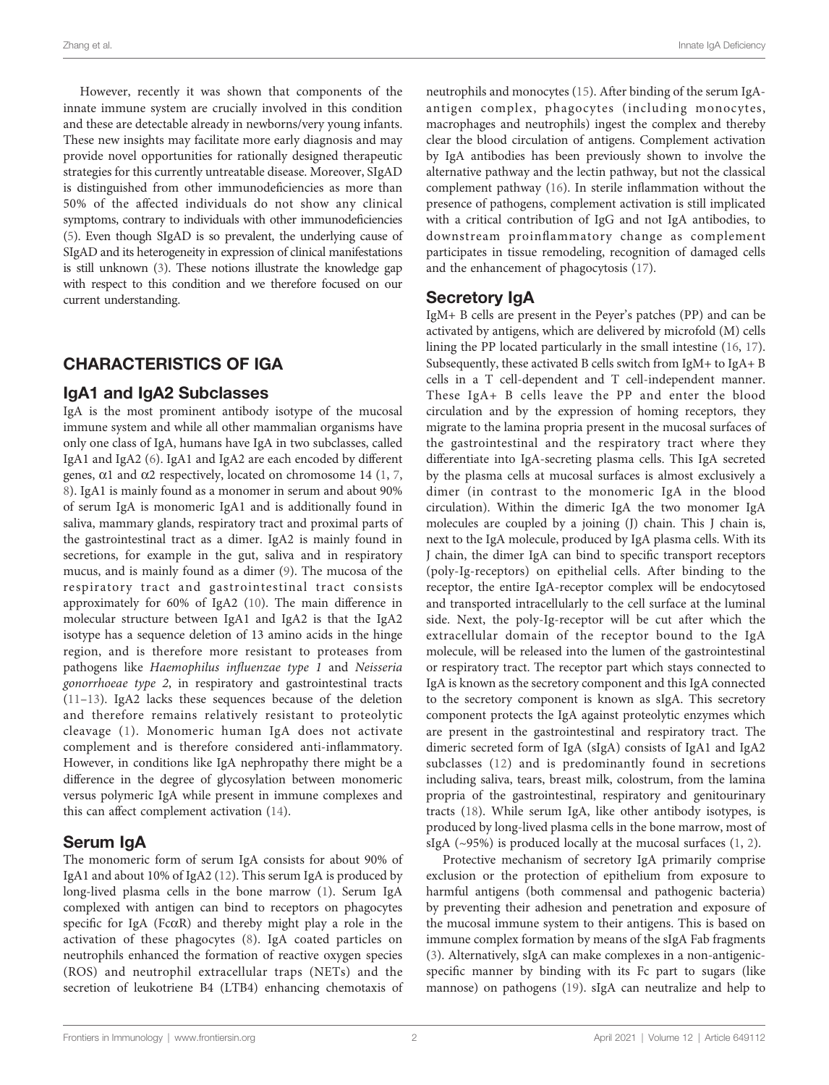However, recently it was shown that components of the innate immune system are crucially involved in this condition and these are detectable already in newborns/very young infants. These new insights may facilitate more early diagnosis and may provide novel opportunities for rationally designed therapeutic strategies for this currently untreatable disease. Moreover, SIgAD is distinguished from other immunodeficiencies as more than 50% of the affected individuals do not show any clinical symptoms, contrary to individuals with other immunodeficiencies [\(5\)](#page-12-0). Even though SIgAD is so prevalent, the underlying cause of SIgAD and its heterogeneity in expression of clinical manifestations is still unknown [\(3\)](#page-12-0). These notions illustrate the knowledge gap with respect to this condition and we therefore focused on our current understanding.

# CHARACTERISTICS OF IGA

#### IgA1 and IgA2 Subclasses

IgA is the most prominent antibody isotype of the mucosal immune system and while all other mammalian organisms have only one class of IgA, humans have IgA in two subclasses, called IgA1 and IgA2 [\(6\)](#page-12-0). IgA1 and IgA2 are each encoded by different genes,  $\alpha$ 1 and  $\alpha$ 2 respectively, located on chromosome 14 [\(1,](#page-12-0) [7](#page-12-0), [8\)](#page-12-0). IgA1 is mainly found as a monomer in serum and about 90% of serum IgA is monomeric IgA1 and is additionally found in saliva, mammary glands, respiratory tract and proximal parts of the gastrointestinal tract as a dimer. IgA2 is mainly found in secretions, for example in the gut, saliva and in respiratory mucus, and is mainly found as a dimer ([9](#page-12-0)). The mucosa of the respiratory tract and gastrointestinal tract consists approximately for 60% of IgA2 [\(10\)](#page-12-0). The main difference in molecular structure between IgA1 and IgA2 is that the IgA2 isotype has a sequence deletion of 13 amino acids in the hinge region, and is therefore more resistant to proteases from pathogens like Haemophilus influenzae type 1 and Neisseria gonorrhoeae type 2, in respiratory and gastrointestinal tracts ([11](#page-12-0)–[13\)](#page-12-0). IgA2 lacks these sequences because of the deletion and therefore remains relatively resistant to proteolytic cleavage ([1\)](#page-12-0). Monomeric human IgA does not activate complement and is therefore considered anti-inflammatory. However, in conditions like IgA nephropathy there might be a difference in the degree of glycosylation between monomeric versus polymeric IgA while present in immune complexes and this can affect complement activation [\(14\)](#page-12-0).

#### Serum IgA

The monomeric form of serum IgA consists for about 90% of IgA1 and about 10% of IgA2 [\(12](#page-12-0)). This serum IgA is produced by long-lived plasma cells in the bone marrow [\(1\)](#page-12-0). Serum IgA complexed with antigen can bind to receptors on phagocytes specific for IgA (Fc $\alpha$ R) and thereby might play a role in the activation of these phagocytes ([8\)](#page-12-0). IgA coated particles on neutrophils enhanced the formation of reactive oxygen species (ROS) and neutrophil extracellular traps (NETs) and the secretion of leukotriene B4 (LTB4) enhancing chemotaxis of neutrophils and monocytes [\(15](#page-12-0)). After binding of the serum IgAantigen complex, phagocytes (including monocytes, macrophages and neutrophils) ingest the complex and thereby clear the blood circulation of antigens. Complement activation by IgA antibodies has been previously shown to involve the alternative pathway and the lectin pathway, but not the classical complement pathway [\(16](#page-12-0)). In sterile inflammation without the presence of pathogens, complement activation is still implicated with a critical contribution of IgG and not IgA antibodies, to downstream proinflammatory change as complement participates in tissue remodeling, recognition of damaged cells and the enhancement of phagocytosis ([17](#page-12-0)).

#### Secretory IgA

IgM+ B cells are present in the Peyer's patches (PP) and can be activated by antigens, which are delivered by microfold (M) cells lining the PP located particularly in the small intestine ([16,](#page-12-0) [17\)](#page-12-0). Subsequently, these activated B cells switch from IgM+ to IgA+ B cells in a T cell-dependent and T cell-independent manner. These IgA+ B cells leave the PP and enter the blood circulation and by the expression of homing receptors, they migrate to the lamina propria present in the mucosal surfaces of the gastrointestinal and the respiratory tract where they differentiate into IgA-secreting plasma cells. This IgA secreted by the plasma cells at mucosal surfaces is almost exclusively a dimer (in contrast to the monomeric IgA in the blood circulation). Within the dimeric IgA the two monomer IgA molecules are coupled by a joining (J) chain. This J chain is, next to the IgA molecule, produced by IgA plasma cells. With its J chain, the dimer IgA can bind to specific transport receptors (poly-Ig-receptors) on epithelial cells. After binding to the receptor, the entire IgA-receptor complex will be endocytosed and transported intracellularly to the cell surface at the luminal side. Next, the poly-Ig-receptor will be cut after which the extracellular domain of the receptor bound to the IgA molecule, will be released into the lumen of the gastrointestinal or respiratory tract. The receptor part which stays connected to IgA is known as the secretory component and this IgA connected to the secretory component is known as sIgA. This secretory component protects the IgA against proteolytic enzymes which are present in the gastrointestinal and respiratory tract. The dimeric secreted form of IgA (sIgA) consists of IgA1 and IgA2 subclasses ([12](#page-12-0)) and is predominantly found in secretions including saliva, tears, breast milk, colostrum, from the lamina propria of the gastrointestinal, respiratory and genitourinary tracts [\(18](#page-12-0)). While serum IgA, like other antibody isotypes, is produced by long-lived plasma cells in the bone marrow, most of sIgA (~95%) is produced locally at the mucosal surfaces [\(1](#page-12-0), [2](#page-12-0)).

Protective mechanism of secretory IgA primarily comprise exclusion or the protection of epithelium from exposure to harmful antigens (both commensal and pathogenic bacteria) by preventing their adhesion and penetration and exposure of the mucosal immune system to their antigens. This is based on immune complex formation by means of the sIgA Fab fragments [\(3\)](#page-12-0). Alternatively, sIgA can make complexes in a non-antigenicspecific manner by binding with its Fc part to sugars (like mannose) on pathogens ([19\)](#page-12-0). sIgA can neutralize and help to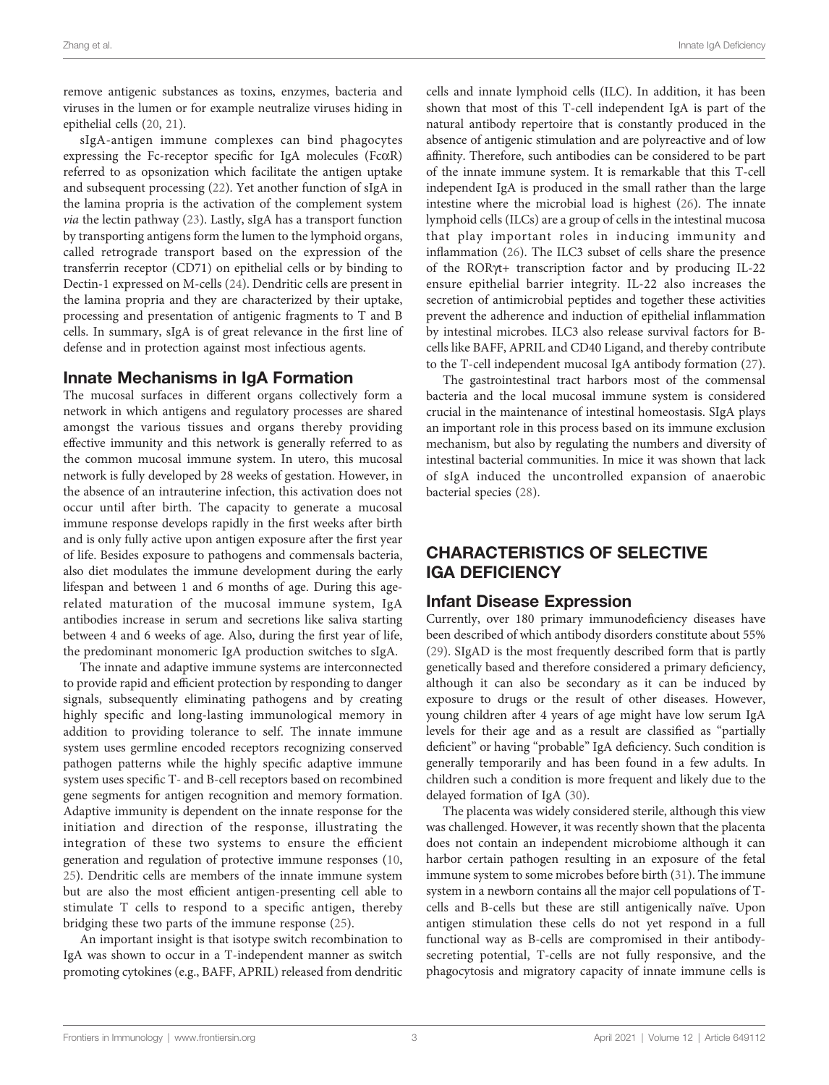remove antigenic substances as toxins, enzymes, bacteria and viruses in the lumen or for example neutralize viruses hiding in epithelial cells [\(20](#page-12-0), [21](#page-12-0)).

sIgA-antigen immune complexes can bind phagocytes expressing the Fc-receptor specific for IgA molecules (FcaR) referred to as opsonization which facilitate the antigen uptake and subsequent processing ([22\)](#page-12-0). Yet another function of sIgA in the lamina propria is the activation of the complement system via the lectin pathway [\(23](#page-12-0)). Lastly, sIgA has a transport function by transporting antigens form the lumen to the lymphoid organs, called retrograde transport based on the expression of the transferrin receptor (CD71) on epithelial cells or by binding to Dectin-1 expressed on M-cells ([24\)](#page-12-0). Dendritic cells are present in the lamina propria and they are characterized by their uptake, processing and presentation of antigenic fragments to T and B cells. In summary, sIgA is of great relevance in the first line of defense and in protection against most infectious agents.

#### Innate Mechanisms in IgA Formation

The mucosal surfaces in different organs collectively form a network in which antigens and regulatory processes are shared amongst the various tissues and organs thereby providing effective immunity and this network is generally referred to as the common mucosal immune system. In utero, this mucosal network is fully developed by 28 weeks of gestation. However, in the absence of an intrauterine infection, this activation does not occur until after birth. The capacity to generate a mucosal immune response develops rapidly in the first weeks after birth and is only fully active upon antigen exposure after the first year of life. Besides exposure to pathogens and commensals bacteria, also diet modulates the immune development during the early lifespan and between 1 and 6 months of age. During this agerelated maturation of the mucosal immune system, IgA antibodies increase in serum and secretions like saliva starting between 4 and 6 weeks of age. Also, during the first year of life, the predominant monomeric IgA production switches to sIgA.

The innate and adaptive immune systems are interconnected to provide rapid and efficient protection by responding to danger signals, subsequently eliminating pathogens and by creating highly specific and long-lasting immunological memory in addition to providing tolerance to self. The innate immune system uses germline encoded receptors recognizing conserved pathogen patterns while the highly specific adaptive immune system uses specific T- and B-cell receptors based on recombined gene segments for antigen recognition and memory formation. Adaptive immunity is dependent on the innate response for the initiation and direction of the response, illustrating the integration of these two systems to ensure the efficient generation and regulation of protective immune responses ([10](#page-12-0), [25](#page-12-0)). Dendritic cells are members of the innate immune system but are also the most efficient antigen-presenting cell able to stimulate T cells to respond to a specific antigen, thereby bridging these two parts of the immune response [\(25](#page-12-0)).

An important insight is that isotype switch recombination to IgA was shown to occur in a T-independent manner as switch promoting cytokines (e.g., BAFF, APRIL) released from dendritic cells and innate lymphoid cells (ILC). In addition, it has been shown that most of this T-cell independent IgA is part of the natural antibody repertoire that is constantly produced in the absence of antigenic stimulation and are polyreactive and of low affinity. Therefore, such antibodies can be considered to be part of the innate immune system. It is remarkable that this T-cell independent IgA is produced in the small rather than the large intestine where the microbial load is highest [\(26](#page-12-0)). The innate lymphoid cells (ILCs) are a group of cells in the intestinal mucosa that play important roles in inducing immunity and inflammation [\(26](#page-12-0)). The ILC3 subset of cells share the presence of the RORgt+ transcription factor and by producing IL-22 ensure epithelial barrier integrity. IL-22 also increases the secretion of antimicrobial peptides and together these activities prevent the adherence and induction of epithelial inflammation by intestinal microbes. ILC3 also release survival factors for Bcells like BAFF, APRIL and CD40 Ligand, and thereby contribute to the T-cell independent mucosal IgA antibody formation [\(27\)](#page-12-0).

The gastrointestinal tract harbors most of the commensal bacteria and the local mucosal immune system is considered crucial in the maintenance of intestinal homeostasis. SIgA plays an important role in this process based on its immune exclusion mechanism, but also by regulating the numbers and diversity of intestinal bacterial communities. In mice it was shown that lack of sIgA induced the uncontrolled expansion of anaerobic bacterial species [\(28\)](#page-12-0).

# CHARACTERISTICS OF SELECTIVE IGA DEFICIENCY

#### Infant Disease Expression

Currently, over 180 primary immunodeficiency diseases have been described of which antibody disorders constitute about 55% [\(29\)](#page-13-0). SIgAD is the most frequently described form that is partly genetically based and therefore considered a primary deficiency, although it can also be secondary as it can be induced by exposure to drugs or the result of other diseases. However, young children after 4 years of age might have low serum IgA levels for their age and as a result are classified as "partially deficient" or having "probable" IgA deficiency. Such condition is generally temporarily and has been found in a few adults. In children such a condition is more frequent and likely due to the delayed formation of IgA [\(30](#page-13-0)).

The placenta was widely considered sterile, although this view was challenged. However, it was recently shown that the placenta does not contain an independent microbiome although it can harbor certain pathogen resulting in an exposure of the fetal immune system to some microbes before birth ([31\)](#page-13-0). The immune system in a newborn contains all the major cell populations of Tcells and B-cells but these are still antigenically naïve. Upon antigen stimulation these cells do not yet respond in a full functional way as B-cells are compromised in their antibodysecreting potential, T-cells are not fully responsive, and the phagocytosis and migratory capacity of innate immune cells is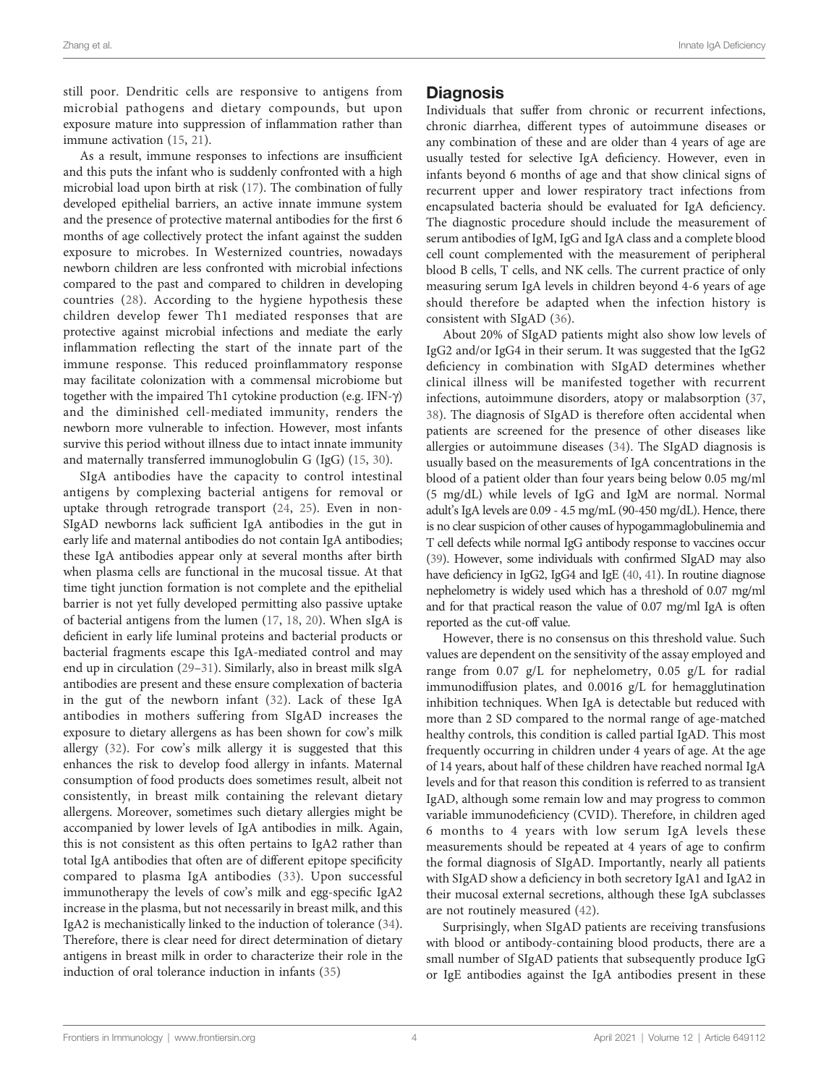still poor. Dendritic cells are responsive to antigens from microbial pathogens and dietary compounds, but upon exposure mature into suppression of inflammation rather than immune activation [\(15,](#page-12-0) [21\)](#page-12-0).

As a result, immune responses to infections are insufficient and this puts the infant who is suddenly confronted with a high microbial load upon birth at risk ([17](#page-12-0)). The combination of fully developed epithelial barriers, an active innate immune system and the presence of protective maternal antibodies for the first 6 months of age collectively protect the infant against the sudden exposure to microbes. In Westernized countries, nowadays newborn children are less confronted with microbial infections compared to the past and compared to children in developing countries [\(28\)](#page-12-0). According to the hygiene hypothesis these children develop fewer Th1 mediated responses that are protective against microbial infections and mediate the early inflammation reflecting the start of the innate part of the immune response. This reduced proinflammatory response may facilitate colonization with a commensal microbiome but together with the impaired Th1 cytokine production (e.g. IFN- $\gamma$ ) and the diminished cell-mediated immunity, renders the newborn more vulnerable to infection. However, most infants survive this period without illness due to intact innate immunity and maternally transferred immunoglobulin G (IgG) ([15,](#page-12-0) [30\)](#page-13-0).

SIgA antibodies have the capacity to control intestinal antigens by complexing bacterial antigens for removal or uptake through retrograde transport [\(24](#page-12-0), [25](#page-12-0)). Even in non-SIgAD newborns lack sufficient IgA antibodies in the gut in early life and maternal antibodies do not contain IgA antibodies; these IgA antibodies appear only at several months after birth when plasma cells are functional in the mucosal tissue. At that time tight junction formation is not complete and the epithelial barrier is not yet fully developed permitting also passive uptake of bacterial antigens from the lumen [\(17,](#page-12-0) [18,](#page-12-0) [20\)](#page-12-0). When sIgA is deficient in early life luminal proteins and bacterial products or bacterial fragments escape this IgA-mediated control and may end up in circulation [\(29](#page-13-0)–[31\)](#page-13-0). Similarly, also in breast milk sIgA antibodies are present and these ensure complexation of bacteria in the gut of the newborn infant ([32](#page-13-0)). Lack of these IgA antibodies in mothers suffering from SIgAD increases the exposure to dietary allergens as has been shown for cow's milk allergy ([32\)](#page-13-0). For cow's milk allergy it is suggested that this enhances the risk to develop food allergy in infants. Maternal consumption of food products does sometimes result, albeit not consistently, in breast milk containing the relevant dietary allergens. Moreover, sometimes such dietary allergies might be accompanied by lower levels of IgA antibodies in milk. Again, this is not consistent as this often pertains to IgA2 rather than total IgA antibodies that often are of different epitope specificity compared to plasma IgA antibodies ([33\)](#page-13-0). Upon successful immunotherapy the levels of cow's milk and egg-specific IgA2 increase in the plasma, but not necessarily in breast milk, and this IgA2 is mechanistically linked to the induction of tolerance ([34\)](#page-13-0). Therefore, there is clear need for direct determination of dietary antigens in breast milk in order to characterize their role in the induction of oral tolerance induction in infants ([35\)](#page-13-0)

#### **Diagnosis**

Individuals that suffer from chronic or recurrent infections, chronic diarrhea, different types of autoimmune diseases or any combination of these and are older than 4 years of age are usually tested for selective IgA deficiency. However, even in infants beyond 6 months of age and that show clinical signs of recurrent upper and lower respiratory tract infections from encapsulated bacteria should be evaluated for IgA deficiency. The diagnostic procedure should include the measurement of serum antibodies of IgM, IgG and IgA class and a complete blood cell count complemented with the measurement of peripheral blood B cells, T cells, and NK cells. The current practice of only measuring serum IgA levels in children beyond 4-6 years of age should therefore be adapted when the infection history is consistent with SIgAD [\(36](#page-13-0)).

About 20% of SIgAD patients might also show low levels of IgG2 and/or IgG4 in their serum. It was suggested that the IgG2 deficiency in combination with SIgAD determines whether clinical illness will be manifested together with recurrent infections, autoimmune disorders, atopy or malabsorption ([37,](#page-13-0) [38](#page-13-0)). The diagnosis of SIgAD is therefore often accidental when patients are screened for the presence of other diseases like allergies or autoimmune diseases [\(34\)](#page-13-0). The SIgAD diagnosis is usually based on the measurements of IgA concentrations in the blood of a patient older than four years being below 0.05 mg/ml (5 mg/dL) while levels of IgG and IgM are normal. Normal adult's IgA levels are 0.09 - 4.5 mg/mL (90-450 mg/dL). Hence, there is no clear suspicion of other causes of hypogammaglobulinemia and T cell defects while normal IgG antibody response to vaccines occur [\(39\)](#page-13-0). However, some individuals with confirmed SIgAD may also have deficiency in IgG2, IgG4 and IgE [\(40,](#page-13-0) [41\)](#page-13-0). In routine diagnose nephelometry is widely used which has a threshold of 0.07 mg/ml and for that practical reason the value of 0.07 mg/ml IgA is often reported as the cut-off value.

However, there is no consensus on this threshold value. Such values are dependent on the sensitivity of the assay employed and range from 0.07 g/L for nephelometry, 0.05 g/L for radial immunodiffusion plates, and 0.0016 g/L for hemagglutination inhibition techniques. When IgA is detectable but reduced with more than 2 SD compared to the normal range of age-matched healthy controls, this condition is called partial IgAD. This most frequently occurring in children under 4 years of age. At the age of 14 years, about half of these children have reached normal IgA levels and for that reason this condition is referred to as transient IgAD, although some remain low and may progress to common variable immunodeficiency (CVID). Therefore, in children aged 6 months to 4 years with low serum IgA levels these measurements should be repeated at 4 years of age to confirm the formal diagnosis of SIgAD. Importantly, nearly all patients with SIgAD show a deficiency in both secretory IgA1 and IgA2 in their mucosal external secretions, although these IgA subclasses are not routinely measured [\(42](#page-13-0)).

Surprisingly, when SIgAD patients are receiving transfusions with blood or antibody-containing blood products, there are a small number of SIgAD patients that subsequently produce IgG or IgE antibodies against the IgA antibodies present in these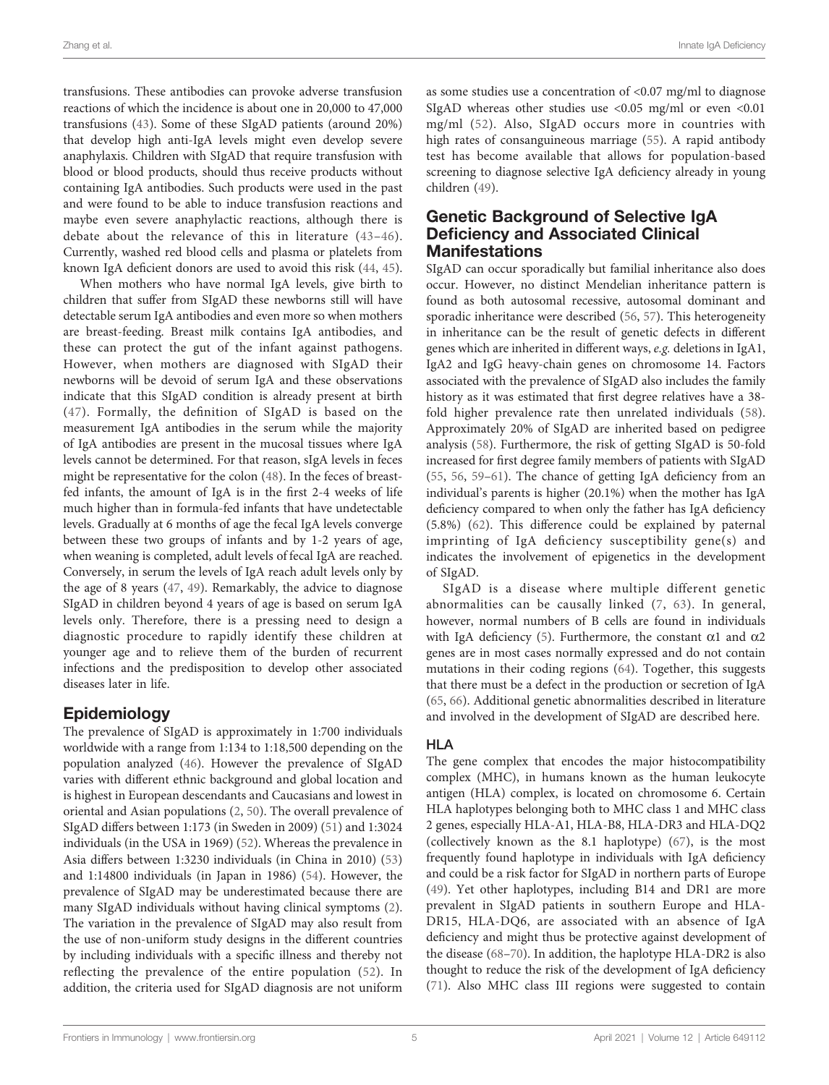transfusions. These antibodies can provoke adverse transfusion reactions of which the incidence is about one in 20,000 to 47,000 transfusions [\(43](#page-13-0)). Some of these SIgAD patients (around 20%) that develop high anti-IgA levels might even develop severe anaphylaxis. Children with SIgAD that require transfusion with blood or blood products, should thus receive products without containing IgA antibodies. Such products were used in the past and were found to be able to induce transfusion reactions and maybe even severe anaphylactic reactions, although there is debate about the relevance of this in literature ([43](#page-13-0)–[46](#page-13-0)). Currently, washed red blood cells and plasma or platelets from known IgA deficient donors are used to avoid this risk ([44,](#page-13-0) [45\)](#page-13-0).

When mothers who have normal IgA levels, give birth to children that suffer from SIgAD these newborns still will have detectable serum IgA antibodies and even more so when mothers are breast-feeding. Breast milk contains IgA antibodies, and these can protect the gut of the infant against pathogens. However, when mothers are diagnosed with SIgAD their newborns will be devoid of serum IgA and these observations indicate that this SIgAD condition is already present at birth ([47\)](#page-13-0). Formally, the definition of SIgAD is based on the measurement IgA antibodies in the serum while the majority of IgA antibodies are present in the mucosal tissues where IgA levels cannot be determined. For that reason, sIgA levels in feces might be representative for the colon ([48](#page-13-0)). In the feces of breastfed infants, the amount of IgA is in the first 2-4 weeks of life much higher than in formula-fed infants that have undetectable levels. Gradually at 6 months of age the fecal IgA levels converge between these two groups of infants and by 1-2 years of age, when weaning is completed, adult levels of fecal IgA are reached. Conversely, in serum the levels of IgA reach adult levels only by the age of 8 years [\(47](#page-13-0), [49\)](#page-13-0). Remarkably, the advice to diagnose SIgAD in children beyond 4 years of age is based on serum IgA levels only. Therefore, there is a pressing need to design a diagnostic procedure to rapidly identify these children at younger age and to relieve them of the burden of recurrent infections and the predisposition to develop other associated diseases later in life.

# Epidemiology

The prevalence of SIgAD is approximately in 1:700 individuals worldwide with a range from 1:134 to 1:18,500 depending on the population analyzed [\(46](#page-13-0)). However the prevalence of SIgAD varies with different ethnic background and global location and is highest in European descendants and Caucasians and lowest in oriental and Asian populations [\(2,](#page-12-0) [50](#page-13-0)). The overall prevalence of SIgAD differs between 1:173 (in Sweden in 2009) ([51\)](#page-13-0) and 1:3024 individuals (in the USA in 1969) [\(52](#page-13-0)). Whereas the prevalence in Asia differs between 1:3230 individuals (in China in 2010) ([53\)](#page-13-0) and 1:14800 individuals (in Japan in 1986) ([54\)](#page-13-0). However, the prevalence of SIgAD may be underestimated because there are many SIgAD individuals without having clinical symptoms [\(2\)](#page-12-0). The variation in the prevalence of SIgAD may also result from the use of non-uniform study designs in the different countries by including individuals with a specific illness and thereby not reflecting the prevalence of the entire population ([52](#page-13-0)). In addition, the criteria used for SIgAD diagnosis are not uniform

as some studies use a concentration of <0.07 mg/ml to diagnose SIgAD whereas other studies use  $\langle 0.05 \text{ mg/ml} \text{ or even } \langle 0.01 \rangle$ mg/ml [\(52\)](#page-13-0). Also, SIgAD occurs more in countries with high rates of consanguineous marriage [\(55\)](#page-13-0). A rapid antibody test has become available that allows for population-based screening to diagnose selective IgA deficiency already in young children ([49\)](#page-13-0).

### Genetic Background of Selective IgA Deficiency and Associated Clinical **Manifestations**

SIgAD can occur sporadically but familial inheritance also does occur. However, no distinct Mendelian inheritance pattern is found as both autosomal recessive, autosomal dominant and sporadic inheritance were described [\(56,](#page-13-0) [57](#page-13-0)). This heterogeneity in inheritance can be the result of genetic defects in different genes which are inherited in different ways, e.g. deletions in IgA1, IgA2 and IgG heavy-chain genes on chromosome 14. Factors associated with the prevalence of SIgAD also includes the family history as it was estimated that first degree relatives have a 38 fold higher prevalence rate then unrelated individuals [\(58](#page-13-0)). Approximately 20% of SIgAD are inherited based on pedigree analysis [\(58](#page-13-0)). Furthermore, the risk of getting SIgAD is 50-fold increased for first degree family members of patients with SIgAD [\(55,](#page-13-0) [56](#page-13-0), [59](#page-13-0)–[61\)](#page-13-0). The chance of getting IgA deficiency from an individual's parents is higher (20.1%) when the mother has IgA deficiency compared to when only the father has IgA deficiency (5.8%) [\(62\)](#page-13-0). This difference could be explained by paternal imprinting of IgA deficiency susceptibility gene(s) and indicates the involvement of epigenetics in the development of SIgAD.

SIgAD is a disease where multiple different genetic abnormalities can be causally linked [\(7](#page-12-0), [63](#page-13-0)). In general, however, normal numbers of B cells are found in individuals with IgA deficiency ([5](#page-12-0)). Furthermore, the constant  $\alpha$ 1 and  $\alpha$ 2 genes are in most cases normally expressed and do not contain mutations in their coding regions ([64](#page-13-0)). Together, this suggests that there must be a defect in the production or secretion of IgA [\(65,](#page-13-0) [66](#page-13-0)). Additional genetic abnormalities described in literature and involved in the development of SIgAD are described here.

#### HLA

The gene complex that encodes the major histocompatibility complex (MHC), in humans known as the human leukocyte antigen (HLA) complex, is located on chromosome 6. Certain HLA haplotypes belonging both to MHC class 1 and MHC class 2 genes, especially HLA-A1, HLA-B8, HLA-DR3 and HLA-DQ2 (collectively known as the 8.1 haplotype) ([67\)](#page-13-0), is the most frequently found haplotype in individuals with IgA deficiency and could be a risk factor for SIgAD in northern parts of Europe [\(49\)](#page-13-0). Yet other haplotypes, including B14 and DR1 are more prevalent in SIgAD patients in southern Europe and HLA-DR15, HLA-DQ6, are associated with an absence of IgA deficiency and might thus be protective against development of the disease ([68](#page-13-0)–[70\)](#page-14-0). In addition, the haplotype HLA-DR2 is also thought to reduce the risk of the development of IgA deficiency [\(71\)](#page-14-0). Also MHC class III regions were suggested to contain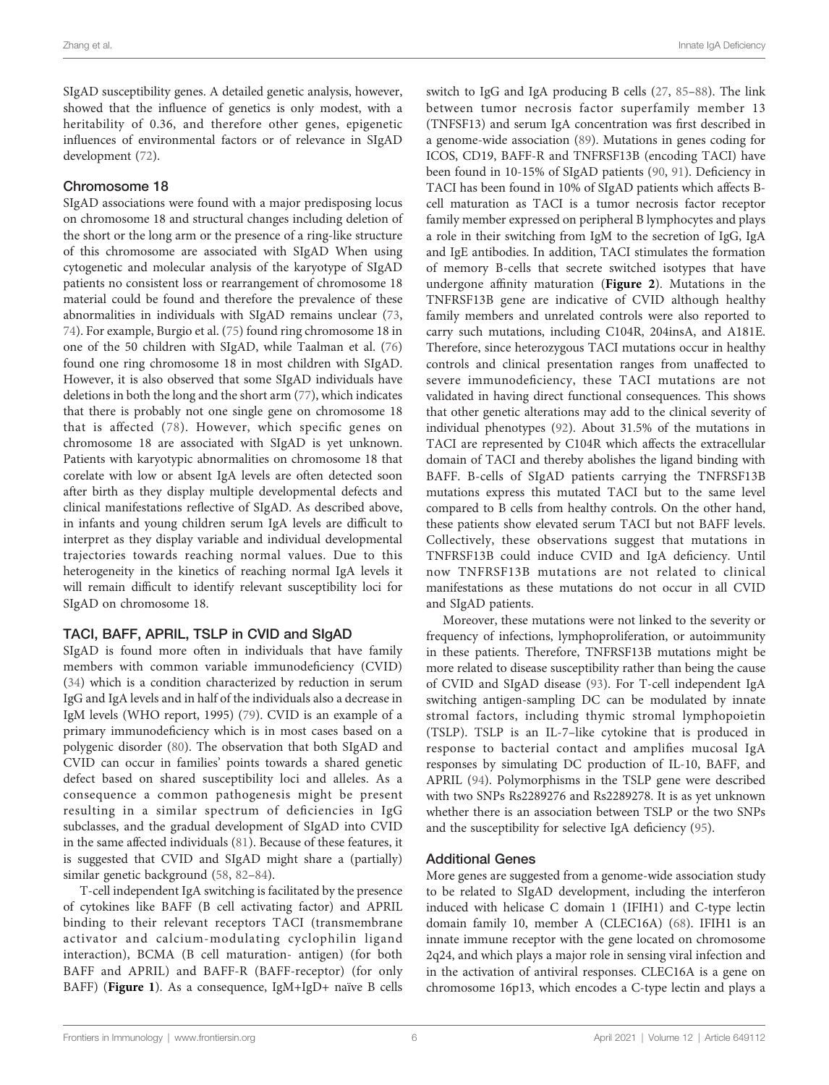SIgAD susceptibility genes. A detailed genetic analysis, however, showed that the influence of genetics is only modest, with a heritability of 0.36, and therefore other genes, epigenetic influences of environmental factors or of relevance in SIgAD development [\(72\)](#page-14-0).

#### Chromosome 18

SIgAD associations were found with a major predisposing locus on chromosome 18 and structural changes including deletion of the short or the long arm or the presence of a ring-like structure of this chromosome are associated with SIgAD When using cytogenetic and molecular analysis of the karyotype of SIgAD patients no consistent loss or rearrangement of chromosome 18 material could be found and therefore the prevalence of these abnormalities in individuals with SIgAD remains unclear ([73](#page-14-0), [74](#page-14-0)). For example, Burgio et al. ([75\)](#page-14-0) found ring chromosome 18 in one of the 50 children with SIgAD, while Taalman et al. ([76\)](#page-14-0) found one ring chromosome 18 in most children with SIgAD. However, it is also observed that some SIgAD individuals have deletions in both the long and the short arm [\(77\)](#page-14-0), which indicates that there is probably not one single gene on chromosome 18 that is affected ([78](#page-14-0)). However, which specific genes on chromosome 18 are associated with SIgAD is yet unknown. Patients with karyotypic abnormalities on chromosome 18 that corelate with low or absent IgA levels are often detected soon after birth as they display multiple developmental defects and clinical manifestations reflective of SIgAD. As described above, in infants and young children serum IgA levels are difficult to interpret as they display variable and individual developmental trajectories towards reaching normal values. Due to this heterogeneity in the kinetics of reaching normal IgA levels it will remain difficult to identify relevant susceptibility loci for SIgAD on chromosome 18.

#### TACI, BAFF, APRIL, TSLP in CVID and SIgAD

SIgAD is found more often in individuals that have family members with common variable immunodeficiency (CVID) ([34\)](#page-13-0) which is a condition characterized by reduction in serum IgG and IgA levels and in half of the individuals also a decrease in IgM levels (WHO report, 1995) [\(79\)](#page-14-0). CVID is an example of a primary immunodeficiency which is in most cases based on a polygenic disorder [\(80](#page-14-0)). The observation that both SIgAD and CVID can occur in families' points towards a shared genetic defect based on shared susceptibility loci and alleles. As a consequence a common pathogenesis might be present resulting in a similar spectrum of deficiencies in IgG subclasses, and the gradual development of SIgAD into CVID in the same affected individuals [\(81\)](#page-14-0). Because of these features, it is suggested that CVID and SIgAD might share a (partially) similar genetic background [\(58](#page-13-0), [82](#page-14-0)–[84](#page-14-0)).

T-cell independent IgA switching is facilitated by the presence of cytokines like BAFF (B cell activating factor) and APRIL binding to their relevant receptors TACI (transmembrane activator and calcium-modulating cyclophilin ligand interaction), BCMA (B cell maturation- antigen) (for both BAFF and APRIL) and BAFF-R (BAFF-receptor) (for only BAFF) ([Figure 1](#page-6-0)). As a consequence, IgM+IgD+ naïve B cells

switch to IgG and IgA producing B cells ([27](#page-12-0), [85](#page-14-0)–[88](#page-14-0)). The link between tumor necrosis factor superfamily member 13 (TNFSF13) and serum IgA concentration was first described in a genome-wide association ([89\)](#page-14-0). Mutations in genes coding for ICOS, CD19, BAFF-R and TNFRSF13B (encoding TACI) have been found in 10-15% of SIgAD patients ([90,](#page-14-0) [91\)](#page-14-0). Deficiency in TACI has been found in 10% of SIgAD patients which affects Bcell maturation as TACI is a tumor necrosis factor receptor family member expressed on peripheral B lymphocytes and plays a role in their switching from IgM to the secretion of IgG, IgA and IgE antibodies. In addition, TACI stimulates the formation of memory B-cells that secrete switched isotypes that have undergone affinity maturation ([Figure 2](#page-7-0)). Mutations in the TNFRSF13B gene are indicative of CVID although healthy family members and unrelated controls were also reported to carry such mutations, including C104R, 204insA, and A181E. Therefore, since heterozygous TACI mutations occur in healthy controls and clinical presentation ranges from unaffected to severe immunodeficiency, these TACI mutations are not validated in having direct functional consequences. This shows that other genetic alterations may add to the clinical severity of individual phenotypes [\(92](#page-14-0)). About 31.5% of the mutations in TACI are represented by C104R which affects the extracellular domain of TACI and thereby abolishes the ligand binding with BAFF. B-cells of SIgAD patients carrying the TNFRSF13B mutations express this mutated TACI but to the same level compared to B cells from healthy controls. On the other hand, these patients show elevated serum TACI but not BAFF levels. Collectively, these observations suggest that mutations in TNFRSF13B could induce CVID and IgA deficiency. Until now TNFRSF13B mutations are not related to clinical manifestations as these mutations do not occur in all CVID and SIgAD patients.

Moreover, these mutations were not linked to the severity or frequency of infections, lymphoproliferation, or autoimmunity in these patients. Therefore, TNFRSF13B mutations might be more related to disease susceptibility rather than being the cause of CVID and SIgAD disease [\(93](#page-14-0)). For T-cell independent IgA switching antigen-sampling DC can be modulated by innate stromal factors, including thymic stromal lymphopoietin (TSLP). TSLP is an IL-7–like cytokine that is produced in response to bacterial contact and amplifies mucosal IgA responses by simulating DC production of IL-10, BAFF, and APRIL ([94](#page-14-0)). Polymorphisms in the TSLP gene were described with two SNPs Rs2289276 and Rs2289278. It is as yet unknown whether there is an association between TSLP or the two SNPs and the susceptibility for selective IgA deficiency [\(95](#page-14-0)).

#### Additional Genes

More genes are suggested from a genome-wide association study to be related to SIgAD development, including the interferon induced with helicase C domain 1 (IFIH1) and C-type lectin domain family 10, member A (CLEC16A) ([68\)](#page-13-0). IFIH1 is an innate immune receptor with the gene located on chromosome 2q24, and which plays a major role in sensing viral infection and in the activation of antiviral responses. CLEC16A is a gene on chromosome 16p13, which encodes a C-type lectin and plays a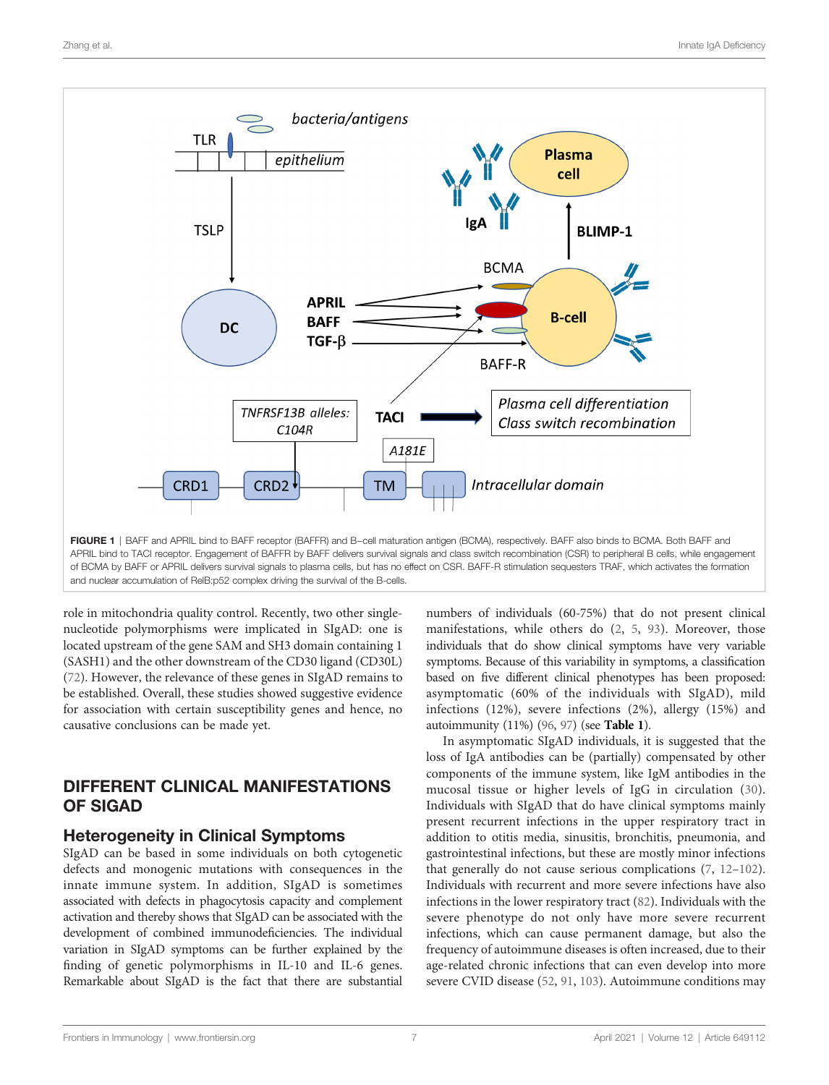<span id="page-6-0"></span>

role in mitochondria quality control. Recently, two other singlenucleotide polymorphisms were implicated in SIgAD: one is located upstream of the gene SAM and SH3 domain containing 1 (SASH1) and the other downstream of the CD30 ligand (CD30L) ([72\)](#page-14-0). However, the relevance of these genes in SIgAD remains to be established. Overall, these studies showed suggestive evidence for association with certain susceptibility genes and hence, no causative conclusions can be made yet.

# DIFFERENT CLINICAL MANIFESTATIONS OF SIGAD

### Heterogeneity in Clinical Symptoms

SIgAD can be based in some individuals on both cytogenetic defects and monogenic mutations with consequences in the innate immune system. In addition, SIgAD is sometimes associated with defects in phagocytosis capacity and complement activation and thereby shows that SIgAD can be associated with the development of combined immunodeficiencies. The individual variation in SIgAD symptoms can be further explained by the finding of genetic polymorphisms in IL-10 and IL-6 genes. Remarkable about SIgAD is the fact that there are substantial numbers of individuals (60-75%) that do not present clinical manifestations, while others do ([2,](#page-12-0) [5](#page-12-0), [93\)](#page-14-0). Moreover, those individuals that do show clinical symptoms have very variable symptoms. Because of this variability in symptoms, a classification based on five different clinical phenotypes has been proposed: asymptomatic (60% of the individuals with SIgAD), mild infections (12%), severe infections (2%), allergy (15%) and autoimmunity (11%) [\(96,](#page-14-0) [97](#page-14-0)) (see [Table 1](#page-7-0)).

In asymptomatic SIgAD individuals, it is suggested that the loss of IgA antibodies can be (partially) compensated by other components of the immune system, like IgM antibodies in the mucosal tissue or higher levels of IgG in circulation ([30](#page-13-0)). Individuals with SIgAD that do have clinical symptoms mainly present recurrent infections in the upper respiratory tract in addition to otitis media, sinusitis, bronchitis, pneumonia, and gastrointestinal infections, but these are mostly minor infections that generally do not cause serious complications ([7](#page-12-0), [12](#page-12-0)–[102\)](#page-14-0). Individuals with recurrent and more severe infections have also infections in the lower respiratory tract [\(82](#page-14-0)). Individuals with the severe phenotype do not only have more severe recurrent infections, which can cause permanent damage, but also the frequency of autoimmune diseases is often increased, due to their age-related chronic infections that can even develop into more severe CVID disease [\(52](#page-13-0), [91,](#page-14-0) [103](#page-14-0)). Autoimmune conditions may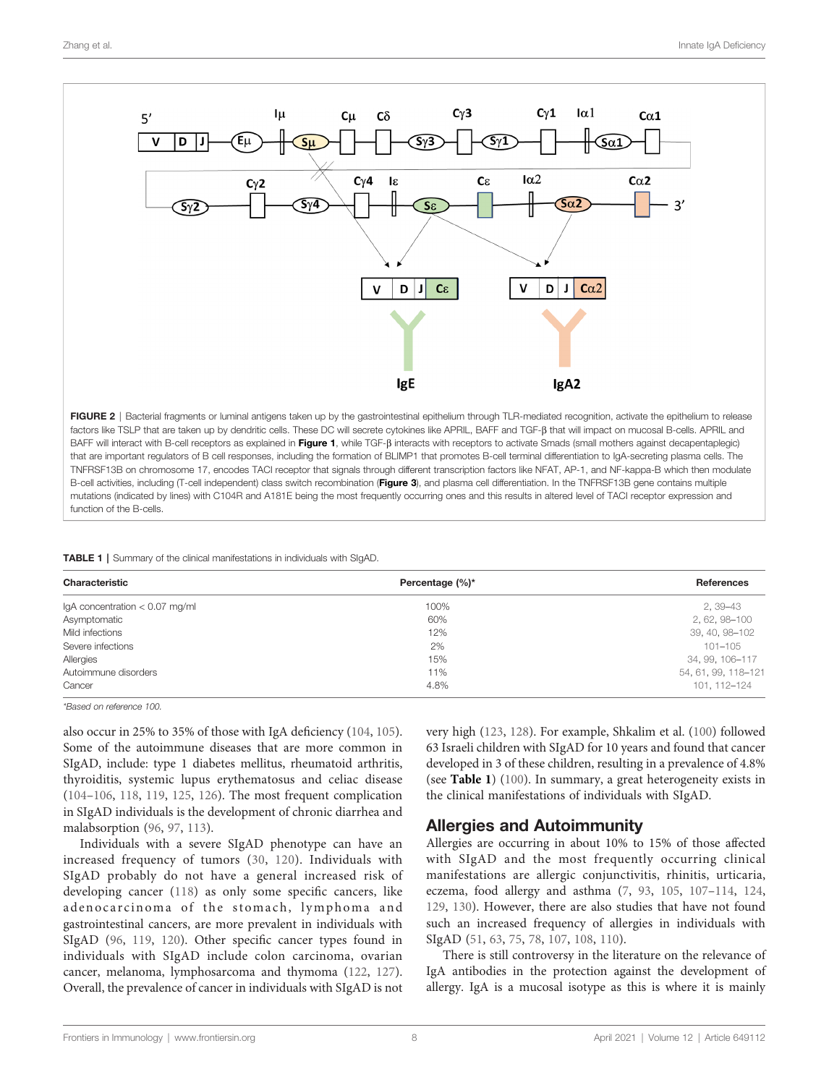<span id="page-7-0"></span>

factors like TSLP that are taken up by dendritic cells. These DC will secrete cytokines like APRIL, BAFF and TGF-8 that will impact on mucosal B-cells. APRIL and BAFF will interact with B-cell receptors as explained in [Figure 1](#page-6-0), while TGF- $\beta$  interacts with receptors to activate Smads (small mothers against decapentaplegic) that are important regulators of B cell responses, including the formation of BLIMP1 that promotes B-cell terminal differentiation to IgA-secreting plasma cells. The TNFRSF13B on chromosome 17, encodes TACI receptor that signals through different transcription factors like NFAT, AP-1, and NF-kappa-B which then modulate B-cell activities, including (T-cell independent) class switch recombination ([Figure 3](#page-8-0)), and plasma cell differentiation. In the TNFRSF13B gene contains multiple mutations (indicated by lines) with C104R and A181E being the most frequently occurring ones and this results in altered level of TACI receptor expression and function of the B-cells.

|  |  | TABLE 1   Summary of the clinical manifestations in individuals with SIgAD. |  |  |
|--|--|-----------------------------------------------------------------------------|--|--|
|  |  |                                                                             |  |  |

| Characteristic                   | Percentage (%)* | <b>References</b>   |
|----------------------------------|-----------------|---------------------|
| IgA concentration $< 0.07$ mg/ml | 100%            | 2, 39 - 43          |
| Asymptomatic                     | 60%             | 2, 62, 98-100       |
| Mild infections                  | 12%             | 39, 40, 98-102      |
| Severe infections                | 2%              | $101 - 105$         |
| Allergies                        | 15%             | 34, 99, 106-117     |
| Autoimmune disorders             | 11%             | 54, 61, 99, 118-121 |
| Cancer                           | 4.8%            | 101, 112-124        |

\*Based on reference 100.

also occur in 25% to 35% of those with IgA deficiency [\(104,](#page-14-0) [105\)](#page-14-0). Some of the autoimmune diseases that are more common in SIgAD, include: type 1 diabetes mellitus, rheumatoid arthritis, thyroiditis, systemic lupus erythematosus and celiac disease ([104](#page-14-0)–[106,](#page-14-0) [118,](#page-15-0) [119](#page-15-0), [125](#page-15-0), [126](#page-15-0)). The most frequent complication in SIgAD individuals is the development of chronic diarrhea and malabsorption [\(96,](#page-14-0) [97,](#page-14-0) [113](#page-15-0)).

Individuals with a severe SIgAD phenotype can have an increased frequency of tumors ([30](#page-13-0), [120\)](#page-15-0). Individuals with SIgAD probably do not have a general increased risk of developing cancer [\(118](#page-15-0)) as only some specific cancers, like adenocarcinoma of the stomach, lymphoma and gastrointestinal cancers, are more prevalent in individuals with SIgAD ([96](#page-14-0), [119,](#page-15-0) [120](#page-15-0)). Other specific cancer types found in individuals with SIgAD include colon carcinoma, ovarian cancer, melanoma, lymphosarcoma and thymoma [\(122,](#page-15-0) [127\)](#page-15-0). Overall, the prevalence of cancer in individuals with SIgAD is not

very high ([123,](#page-15-0) [128\)](#page-15-0). For example, Shkalim et al. ([100\)](#page-14-0) followed 63 Israeli children with SIgAD for 10 years and found that cancer developed in 3 of these children, resulting in a prevalence of 4.8% (see Table 1) ([100](#page-14-0)). In summary, a great heterogeneity exists in the clinical manifestations of individuals with SIgAD.

#### Allergies and Autoimmunity

Allergies are occurring in about 10% to 15% of those affected with SIgAD and the most frequently occurring clinical manifestations are allergic conjunctivitis, rhinitis, urticaria, eczema, food allergy and asthma [\(7,](#page-12-0) [93,](#page-14-0) [105](#page-14-0), [107](#page-14-0)–[114](#page-15-0), [124,](#page-15-0) [129,](#page-15-0) [130\)](#page-15-0). However, there are also studies that have not found such an increased frequency of allergies in individuals with SIgAD ([51,](#page-13-0) [63,](#page-13-0) [75,](#page-14-0) [78,](#page-14-0) [107](#page-14-0), [108](#page-15-0), [110\)](#page-15-0).

There is still controversy in the literature on the relevance of IgA antibodies in the protection against the development of allergy. IgA is a mucosal isotype as this is where it is mainly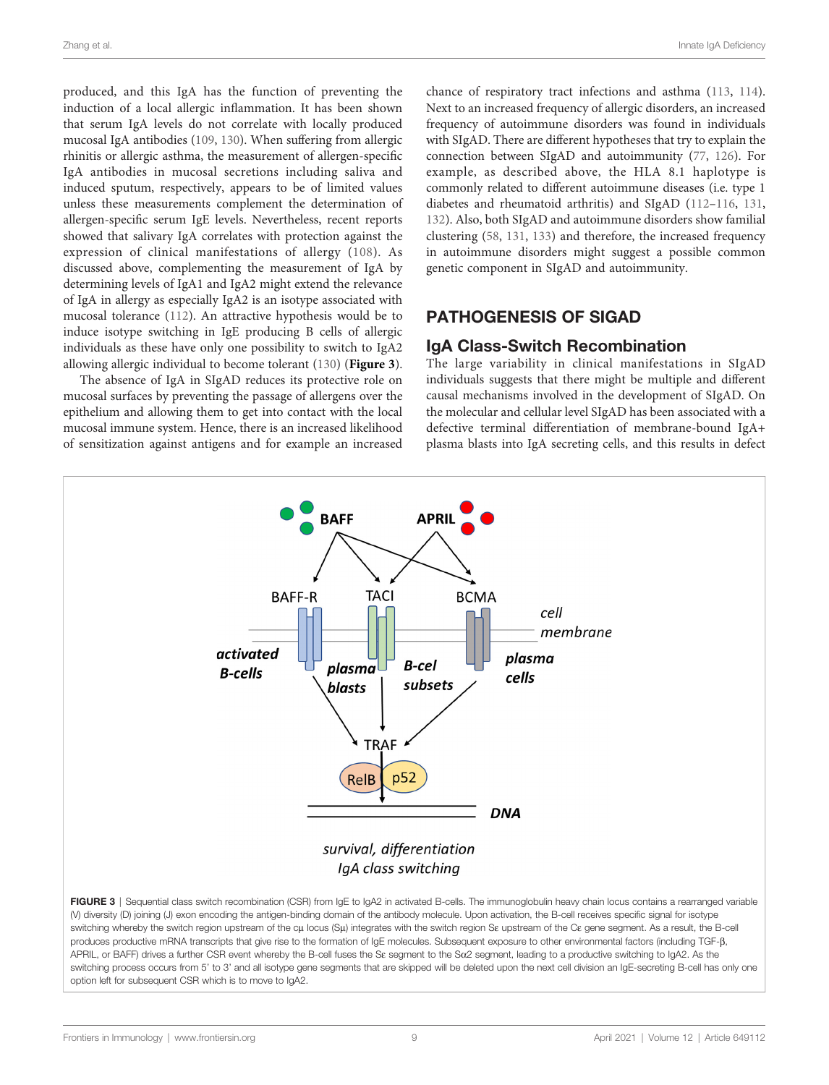<span id="page-8-0"></span>produced, and this IgA has the function of preventing the induction of a local allergic inflammation. It has been shown that serum IgA levels do not correlate with locally produced mucosal IgA antibodies [\(109,](#page-15-0) [130](#page-15-0)). When suffering from allergic rhinitis or allergic asthma, the measurement of allergen-specific IgA antibodies in mucosal secretions including saliva and induced sputum, respectively, appears to be of limited values unless these measurements complement the determination of allergen-specific serum IgE levels. Nevertheless, recent reports showed that salivary IgA correlates with protection against the expression of clinical manifestations of allergy [\(108\)](#page-15-0). As discussed above, complementing the measurement of IgA by determining levels of IgA1 and IgA2 might extend the relevance of IgA in allergy as especially IgA2 is an isotype associated with mucosal tolerance ([112](#page-15-0)). An attractive hypothesis would be to induce isotype switching in IgE producing B cells of allergic individuals as these have only one possibility to switch to IgA2 allowing allergic individual to become tolerant ([130\)](#page-15-0) (Figure 3).

The absence of IgA in SIgAD reduces its protective role on mucosal surfaces by preventing the passage of allergens over the epithelium and allowing them to get into contact with the local mucosal immune system. Hence, there is an increased likelihood of sensitization against antigens and for example an increased

chance of respiratory tract infections and asthma ([113,](#page-15-0) [114\)](#page-15-0). Next to an increased frequency of allergic disorders, an increased frequency of autoimmune disorders was found in individuals with SIgAD. There are different hypotheses that try to explain the connection between SIgAD and autoimmunity [\(77](#page-14-0), [126](#page-15-0)). For example, as described above, the HLA 8.1 haplotype is commonly related to different autoimmune diseases (i.e. type 1 diabetes and rheumatoid arthritis) and SIgAD ([112](#page-15-0)–[116](#page-15-0), [131,](#page-15-0) [132\)](#page-15-0). Also, both SIgAD and autoimmune disorders show familial clustering [\(58,](#page-13-0) [131](#page-15-0), [133](#page-15-0)) and therefore, the increased frequency in autoimmune disorders might suggest a possible common genetic component in SIgAD and autoimmunity.

### PATHOGENESIS OF SIGAD

#### IgA Class-Switch Recombination

The large variability in clinical manifestations in SIgAD individuals suggests that there might be multiple and different causal mechanisms involved in the development of SIgAD. On the molecular and cellular level SIgAD has been associated with a defective terminal differentiation of membrane-bound IgA+ plasma blasts into IgA secreting cells, and this results in defect



(V) diversity (D) joining (J) exon encoding the antigen-binding domain of the antibody molecule. Upon activation, the B-cell receives specific signal for isotype switching whereby the switch region upstream of the cµ locus (Sµ) integrates with the switch region Se upstream of the Ce gene segment. As a result, the B-cell produces productive mRNA transcripts that give rise to the formation of IgE molecules. Subsequent exposure to other environmental factors (including TGF-ß, APRIL, or BAFF) drives a further CSR event whereby the B-cell fuses the Se segment to the Sa2 segment, leading to a productive switching to IgA2. As the switching process occurs from 5' to 3' and all isotype gene segments that are skipped will be deleted upon the next cell division an IgE-secreting B-cell has only one option left for subsequent CSR which is to move to IgA2.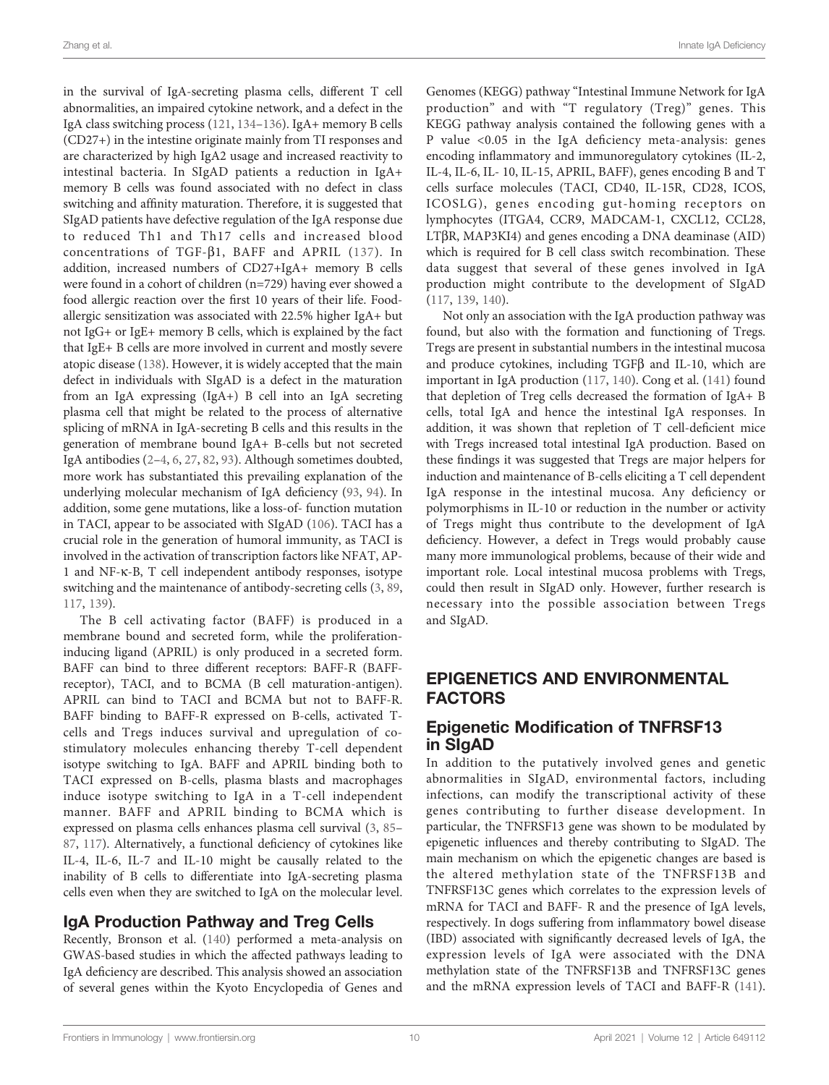in the survival of IgA-secreting plasma cells, different T cell abnormalities, an impaired cytokine network, and a defect in the IgA class switching process ([121](#page-15-0), [134](#page-15-0)–[136](#page-15-0)). IgA+ memory B cells (CD27+) in the intestine originate mainly from TI responses and are characterized by high IgA2 usage and increased reactivity to intestinal bacteria. In SIgAD patients a reduction in IgA+ memory B cells was found associated with no defect in class switching and affinity maturation. Therefore, it is suggested that SIgAD patients have defective regulation of the IgA response due to reduced Th1 and Th17 cells and increased blood concentrations of TGF- $\beta$ 1, BAFF and APRIL ([137\)](#page-15-0). In addition, increased numbers of CD27+IgA+ memory B cells were found in a cohort of children (n=729) having ever showed a food allergic reaction over the first 10 years of their life. Food‐ allergic sensitization was associated with 22.5% higher IgA+ but not IgG+ or IgE+ memory B cells, which is explained by the fact that IgE+ B cells are more involved in current and mostly severe atopic disease [\(138\)](#page-15-0). However, it is widely accepted that the main defect in individuals with SIgAD is a defect in the maturation from an IgA expressing (IgA+) B cell into an IgA secreting plasma cell that might be related to the process of alternative splicing of mRNA in IgA-secreting B cells and this results in the generation of membrane bound IgA+ B-cells but not secreted IgA antibodies ([2](#page-12-0)–[4,](#page-12-0) [6](#page-12-0), [27,](#page-12-0) [82,](#page-14-0) [93](#page-14-0)). Although sometimes doubted, more work has substantiated this prevailing explanation of the underlying molecular mechanism of IgA deficiency [\(93](#page-14-0), [94](#page-14-0)). In addition, some gene mutations, like a loss-of- function mutation in TACI, appear to be associated with SIgAD ([106](#page-14-0)). TACI has a crucial role in the generation of humoral immunity, as TACI is involved in the activation of transcription factors like NFAT, AP-1 and NF-k-B, T cell independent antibody responses, isotype switching and the maintenance of antibody-secreting cells [\(3,](#page-12-0) [89](#page-14-0), [117](#page-15-0), [139\)](#page-15-0).

The B cell activating factor (BAFF) is produced in a membrane bound and secreted form, while the proliferationinducing ligand (APRIL) is only produced in a secreted form. BAFF can bind to three different receptors: BAFF-R (BAFFreceptor), TACI, and to BCMA (B cell maturation-antigen). APRIL can bind to TACI and BCMA but not to BAFF-R. BAFF binding to BAFF-R expressed on B-cells, activated Tcells and Tregs induces survival and upregulation of costimulatory molecules enhancing thereby T-cell dependent isotype switching to IgA. BAFF and APRIL binding both to TACI expressed on B-cells, plasma blasts and macrophages induce isotype switching to IgA in a T-cell independent manner. BAFF and APRIL binding to BCMA which is expressed on plasma cells enhances plasma cell survival ([3](#page-12-0), [85](#page-14-0)– [87](#page-14-0), [117](#page-15-0)). Alternatively, a functional deficiency of cytokines like IL-4, IL-6, IL-7 and IL-10 might be causally related to the inability of B cells to differentiate into IgA-secreting plasma cells even when they are switched to IgA on the molecular level.

# IgA Production Pathway and Treg Cells

Recently, Bronson et al. ([140](#page-15-0)) performed a meta-analysis on GWAS-based studies in which the affected pathways leading to IgA deficiency are described. This analysis showed an association of several genes within the Kyoto Encyclopedia of Genes and

Genomes (KEGG) pathway "Intestinal Immune Network for IgA production" and with "T regulatory (Treg)" genes. This KEGG pathway analysis contained the following genes with a P value <0.05 in the IgA deficiency meta-analysis: genes encoding inflammatory and immunoregulatory cytokines (IL-2, IL-4, IL-6, IL- 10, IL-15, APRIL, BAFF), genes encoding B and T cells surface molecules (TACI, CD40, IL-15R, CD28, ICOS, ICOSLG), genes encoding gut-homing receptors on lymphocytes (ITGA4, CCR9, MADCAM-1, CXCL12, CCL28,  $LT\beta$ R, MAP3KI4) and genes encoding a DNA deaminase (AID) which is required for B cell class switch recombination. These data suggest that several of these genes involved in IgA production might contribute to the development of SIgAD [\(117](#page-15-0), [139,](#page-15-0) [140](#page-15-0)).

Not only an association with the IgA production pathway was found, but also with the formation and functioning of Tregs. Tregs are present in substantial numbers in the intestinal mucosa and produce cytokines, including  $TGF\beta$  and IL-10, which are important in IgA production ([117](#page-15-0), [140](#page-15-0)). Cong et al. ([141\)](#page-15-0) found that depletion of Treg cells decreased the formation of IgA+ B cells, total IgA and hence the intestinal IgA responses. In addition, it was shown that repletion of T cell-deficient mice with Tregs increased total intestinal IgA production. Based on these findings it was suggested that Tregs are major helpers for induction and maintenance of B-cells eliciting a T cell dependent IgA response in the intestinal mucosa. Any deficiency or polymorphisms in IL-10 or reduction in the number or activity of Tregs might thus contribute to the development of IgA deficiency. However, a defect in Tregs would probably cause many more immunological problems, because of their wide and important role. Local intestinal mucosa problems with Tregs, could then result in SIgAD only. However, further research is necessary into the possible association between Tregs and SIgAD.

# EPIGENETICS AND ENVIRONMENTAL FACTORS

# Epigenetic Modification of TNFRSF13 in SIgAD

In addition to the putatively involved genes and genetic abnormalities in SIgAD, environmental factors, including infections, can modify the transcriptional activity of these genes contributing to further disease development. In particular, the TNFRSF13 gene was shown to be modulated by epigenetic influences and thereby contributing to SIgAD. The main mechanism on which the epigenetic changes are based is the altered methylation state of the TNFRSF13B and TNFRSF13C genes which correlates to the expression levels of mRNA for TACI and BAFF- R and the presence of IgA levels, respectively. In dogs suffering from inflammatory bowel disease (IBD) associated with significantly decreased levels of IgA, the expression levels of IgA were associated with the DNA methylation state of the TNFRSF13B and TNFRSF13C genes and the mRNA expression levels of TACI and BAFF-R ([141\)](#page-15-0).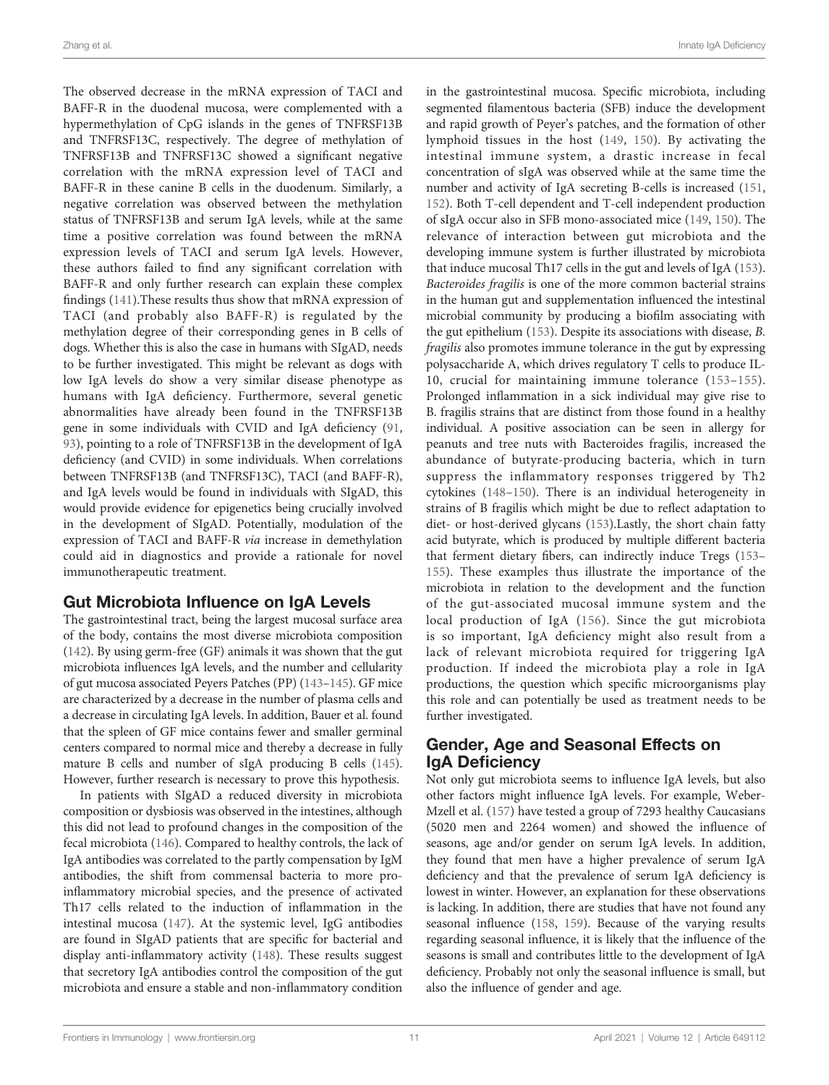The observed decrease in the mRNA expression of TACI and BAFF-R in the duodenal mucosa, were complemented with a hypermethylation of CpG islands in the genes of TNFRSF13B and TNFRSF13C, respectively. The degree of methylation of TNFRSF13B and TNFRSF13C showed a significant negative correlation with the mRNA expression level of TACI and BAFF-R in these canine B cells in the duodenum. Similarly, a negative correlation was observed between the methylation status of TNFRSF13B and serum IgA levels, while at the same time a positive correlation was found between the mRNA expression levels of TACI and serum IgA levels. However, these authors failed to find any significant correlation with BAFF-R and only further research can explain these complex findings ([141](#page-15-0)).These results thus show that mRNA expression of TACI (and probably also BAFF-R) is regulated by the methylation degree of their corresponding genes in B cells of dogs. Whether this is also the case in humans with SIgAD, needs to be further investigated. This might be relevant as dogs with low IgA levels do show a very similar disease phenotype as humans with IgA deficiency. Furthermore, several genetic abnormalities have already been found in the TNFRSF13B gene in some individuals with CVID and IgA deficiency ([91](#page-14-0), [93](#page-14-0)), pointing to a role of TNFRSF13B in the development of IgA deficiency (and CVID) in some individuals. When correlations between TNFRSF13B (and TNFRSF13C), TACI (and BAFF-R), and IgA levels would be found in individuals with SIgAD, this would provide evidence for epigenetics being crucially involved in the development of SIgAD. Potentially, modulation of the expression of TACI and BAFF-R via increase in demethylation could aid in diagnostics and provide a rationale for novel immunotherapeutic treatment.

#### Gut Microbiota Influence on IgA Levels

The gastrointestinal tract, being the largest mucosal surface area of the body, contains the most diverse microbiota composition ([142](#page-15-0)). By using germ-free (GF) animals it was shown that the gut microbiota influences IgA levels, and the number and cellularity of gut mucosa associated Peyers Patches (PP) [\(143](#page-15-0)–[145](#page-15-0)). GF mice are characterized by a decrease in the number of plasma cells and a decrease in circulating IgA levels. In addition, Bauer et al. found that the spleen of GF mice contains fewer and smaller germinal centers compared to normal mice and thereby a decrease in fully mature B cells and number of sIgA producing B cells [\(145\)](#page-15-0). However, further research is necessary to prove this hypothesis.

In patients with SIgAD a reduced diversity in microbiota composition or dysbiosis was observed in the intestines, although this did not lead to profound changes in the composition of the fecal microbiota ([146](#page-15-0)). Compared to healthy controls, the lack of IgA antibodies was correlated to the partly compensation by IgM antibodies, the shift from commensal bacteria to more proinflammatory microbial species, and the presence of activated Th17 cells related to the induction of inflammation in the intestinal mucosa [\(147](#page-16-0)). At the systemic level, IgG antibodies are found in SIgAD patients that are specific for bacterial and display anti-inflammatory activity [\(148\)](#page-16-0). These results suggest that secretory IgA antibodies control the composition of the gut microbiota and ensure a stable and non-inflammatory condition

in the gastrointestinal mucosa. Specific microbiota, including segmented filamentous bacteria (SFB) induce the development and rapid growth of Peyer's patches, and the formation of other lymphoid tissues in the host ([149](#page-16-0), [150](#page-16-0)). By activating the intestinal immune system, a drastic increase in fecal concentration of sIgA was observed while at the same time the number and activity of IgA secreting B-cells is increased [\(151,](#page-16-0) [152\)](#page-16-0). Both T-cell dependent and T-cell independent production of sIgA occur also in SFB mono-associated mice [\(149,](#page-16-0) [150](#page-16-0)). The relevance of interaction between gut microbiota and the developing immune system is further illustrated by microbiota that induce mucosal Th17 cells in the gut and levels of IgA ([153\)](#page-16-0). Bacteroides fragilis is one of the more common bacterial strains in the human gut and supplementation influenced the intestinal microbial community by producing a biofilm associating with the gut epithelium [\(153\)](#page-16-0). Despite its associations with disease, B. fragilis also promotes immune tolerance in the gut by expressing polysaccharide A, which drives regulatory T cells to produce IL-10, crucial for maintaining immune tolerance [\(153](#page-16-0)–[155](#page-16-0)). Prolonged inflammation in a sick individual may give rise to B. fragilis strains that are distinct from those found in a healthy individual. A positive association can be seen in allergy for peanuts and tree nuts with Bacteroides fragilis, increased the abundance of butyrate-producing bacteria, which in turn suppress the inflammatory responses triggered by Th2 cytokines ([148](#page-16-0)–[150\)](#page-16-0). There is an individual heterogeneity in strains of B fragilis which might be due to reflect adaptation to diet- or host-derived glycans ([153\)](#page-16-0).Lastly, the short chain fatty acid butyrate, which is produced by multiple different bacteria that ferment dietary fibers, can indirectly induce Tregs [\(153](#page-16-0)– [155](#page-16-0)). These examples thus illustrate the importance of the microbiota in relation to the development and the function of the gut-associated mucosal immune system and the local production of IgA ([156](#page-16-0)). Since the gut microbiota is so important, IgA deficiency might also result from a lack of relevant microbiota required for triggering IgA production. If indeed the microbiota play a role in IgA productions, the question which specific microorganisms play this role and can potentially be used as treatment needs to be further investigated.

### Gender, Age and Seasonal Effects on IgA Deficiency

Not only gut microbiota seems to influence IgA levels, but also other factors might influence IgA levels. For example, Weber-Mzell et al. ([157](#page-16-0)) have tested a group of 7293 healthy Caucasians (5020 men and 2264 women) and showed the influence of seasons, age and/or gender on serum IgA levels. In addition, they found that men have a higher prevalence of serum IgA deficiency and that the prevalence of serum IgA deficiency is lowest in winter. However, an explanation for these observations is lacking. In addition, there are studies that have not found any seasonal influence ([158,](#page-16-0) [159\)](#page-16-0). Because of the varying results regarding seasonal influence, it is likely that the influence of the seasons is small and contributes little to the development of IgA deficiency. Probably not only the seasonal influence is small, but also the influence of gender and age.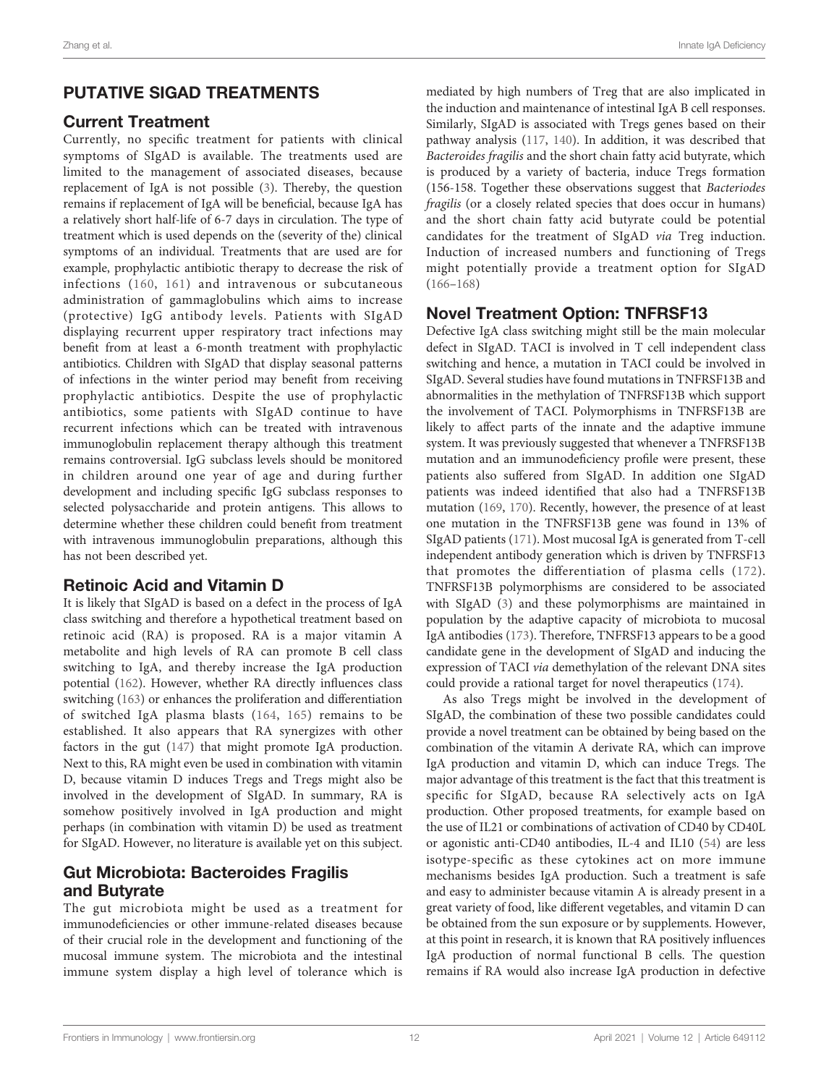# PUTATIVE SIGAD TREATMENTS

# Current Treatment

Currently, no specific treatment for patients with clinical symptoms of SIgAD is available. The treatments used are limited to the management of associated diseases, because replacement of IgA is not possible ([3](#page-12-0)). Thereby, the question remains if replacement of IgA will be beneficial, because IgA has a relatively short half-life of 6-7 days in circulation. The type of treatment which is used depends on the (severity of the) clinical symptoms of an individual. Treatments that are used are for example, prophylactic antibiotic therapy to decrease the risk of infections ([160,](#page-16-0) [161\)](#page-16-0) and intravenous or subcutaneous administration of gammaglobulins which aims to increase (protective) IgG antibody levels. Patients with SIgAD displaying recurrent upper respiratory tract infections may benefit from at least a 6-month treatment with prophylactic antibiotics. Children with SIgAD that display seasonal patterns of infections in the winter period may benefit from receiving prophylactic antibiotics. Despite the use of prophylactic antibiotics, some patients with SIgAD continue to have recurrent infections which can be treated with intravenous immunoglobulin replacement therapy although this treatment remains controversial. IgG subclass levels should be monitored in children around one year of age and during further development and including specific IgG subclass responses to selected polysaccharide and protein antigens. This allows to determine whether these children could benefit from treatment with intravenous immunoglobulin preparations, although this has not been described yet.

# Retinoic Acid and Vitamin D

It is likely that SIgAD is based on a defect in the process of IgA class switching and therefore a hypothetical treatment based on retinoic acid (RA) is proposed. RA is a major vitamin A metabolite and high levels of RA can promote B cell class switching to IgA, and thereby increase the IgA production potential ([162](#page-16-0)). However, whether RA directly influences class switching [\(163\)](#page-16-0) or enhances the proliferation and differentiation of switched IgA plasma blasts ([164,](#page-16-0) [165\)](#page-16-0) remains to be established. It also appears that RA synergizes with other factors in the gut ([147](#page-16-0)) that might promote IgA production. Next to this, RA might even be used in combination with vitamin D, because vitamin D induces Tregs and Tregs might also be involved in the development of SIgAD. In summary, RA is somehow positively involved in IgA production and might perhaps (in combination with vitamin D) be used as treatment for SIgAD. However, no literature is available yet on this subject.

# Gut Microbiota: Bacteroides Fragilis and Butyrate

The gut microbiota might be used as a treatment for immunodeficiencies or other immune-related diseases because of their crucial role in the development and functioning of the mucosal immune system. The microbiota and the intestinal immune system display a high level of tolerance which is mediated by high numbers of Treg that are also implicated in the induction and maintenance of intestinal IgA B cell responses. Similarly, SIgAD is associated with Tregs genes based on their pathway analysis ([117,](#page-15-0) [140\)](#page-15-0). In addition, it was described that Bacteroides fragilis and the short chain fatty acid butyrate, which is produced by a variety of bacteria, induce Tregs formation (156-158. Together these observations suggest that Bacteriodes fragilis (or a closely related species that does occur in humans) and the short chain fatty acid butyrate could be potential candidates for the treatment of SIgAD via Treg induction. Induction of increased numbers and functioning of Tregs might potentially provide a treatment option for SIgAD [\(166](#page-16-0)–[168\)](#page-16-0)

# Novel Treatment Option: TNFRSF13

Defective IgA class switching might still be the main molecular defect in SIgAD. TACI is involved in T cell independent class switching and hence, a mutation in TACI could be involved in SIgAD. Several studies have found mutations in TNFRSF13B and abnormalities in the methylation of TNFRSF13B which support the involvement of TACI. Polymorphisms in TNFRSF13B are likely to affect parts of the innate and the adaptive immune system. It was previously suggested that whenever a TNFRSF13B mutation and an immunodeficiency profile were present, these patients also suffered from SIgAD. In addition one SIgAD patients was indeed identified that also had a TNFRSF13B mutation [\(169,](#page-16-0) [170\)](#page-16-0). Recently, however, the presence of at least one mutation in the TNFRSF13B gene was found in 13% of SIgAD patients ([171](#page-16-0)). Most mucosal IgA is generated from T-cell independent antibody generation which is driven by TNFRSF13 that promotes the differentiation of plasma cells [\(172](#page-16-0)). TNFRSF13B polymorphisms are considered to be associated with SIgAD [\(3\)](#page-12-0) and these polymorphisms are maintained in population by the adaptive capacity of microbiota to mucosal IgA antibodies ([173](#page-16-0)). Therefore, TNFRSF13 appears to be a good candidate gene in the development of SIgAD and inducing the expression of TACI via demethylation of the relevant DNA sites could provide a rational target for novel therapeutics ([174\)](#page-16-0).

As also Tregs might be involved in the development of SIgAD, the combination of these two possible candidates could provide a novel treatment can be obtained by being based on the combination of the vitamin A derivate RA, which can improve IgA production and vitamin D, which can induce Tregs. The major advantage of this treatment is the fact that this treatment is specific for SIgAD, because RA selectively acts on IgA production. Other proposed treatments, for example based on the use of IL21 or combinations of activation of CD40 by CD40L or agonistic anti-CD40 antibodies, IL-4 and IL10 ([54\)](#page-13-0) are less isotype-specific as these cytokines act on more immune mechanisms besides IgA production. Such a treatment is safe and easy to administer because vitamin A is already present in a great variety of food, like different vegetables, and vitamin D can be obtained from the sun exposure or by supplements. However, at this point in research, it is known that RA positively influences IgA production of normal functional B cells. The question remains if RA would also increase IgA production in defective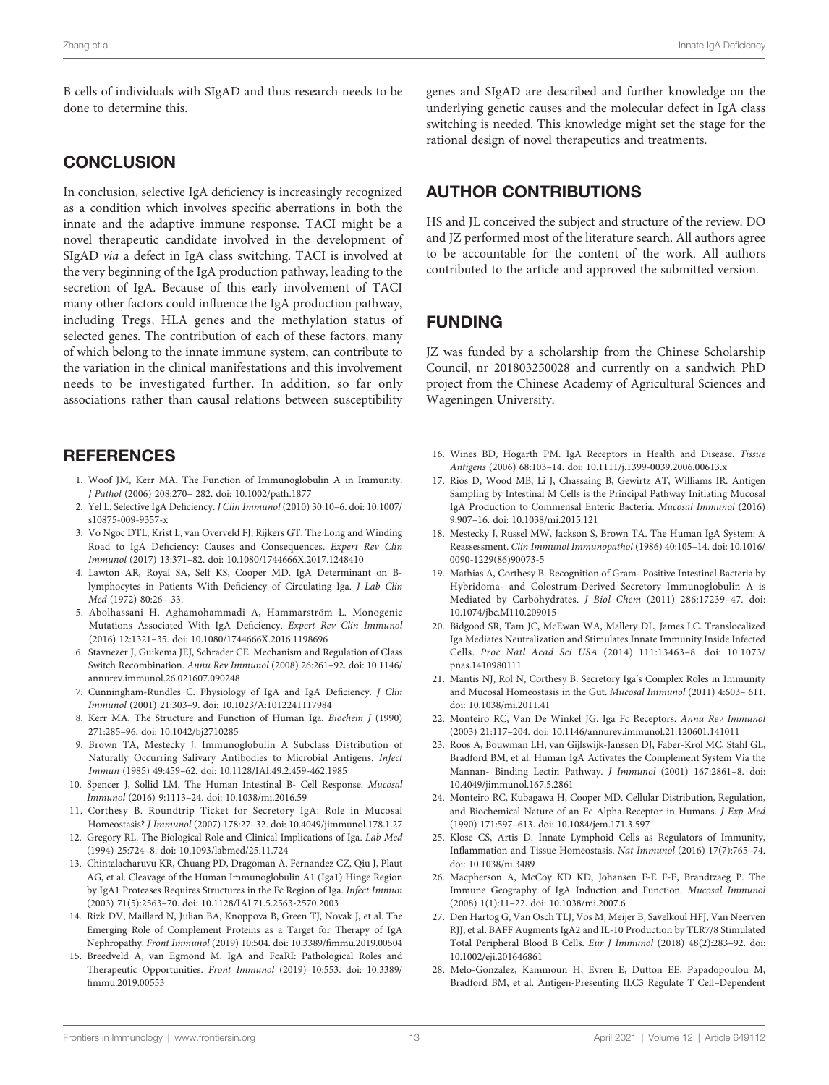<span id="page-12-0"></span>B cells of individuals with SIgAD and thus research needs to be done to determine this.

# **CONCLUSION**

In conclusion, selective IgA deficiency is increasingly recognized as a condition which involves specific aberrations in both the innate and the adaptive immune response. TACI might be a novel therapeutic candidate involved in the development of SIgAD via a defect in IgA class switching. TACI is involved at the very beginning of the IgA production pathway, leading to the secretion of IgA. Because of this early involvement of TACI many other factors could influence the IgA production pathway, including Tregs, HLA genes and the methylation status of selected genes. The contribution of each of these factors, many of which belong to the innate immune system, can contribute to the variation in the clinical manifestations and this involvement needs to be investigated further. In addition, so far only associations rather than causal relations between susceptibility

# **REFERENCES**

- 1. Woof JM, Kerr MA. The Function of Immunoglobulin A in Immunity. J Pathol (2006) 208:270– 282. doi: [10.1002/path.1877](https://doi.org/10.1002/path.1877)
- 2. Yel L. Selective IgA Deficiency. J Clin Immunol (2010) 30:10–6. doi: [10.1007/](https://doi.org/10.1007/s10875-009-9357-x) [s10875-009-9357-x](https://doi.org/10.1007/s10875-009-9357-x)
- 3. Vo Ngoc DTL, Krist L, van Overveld FJ, Rijkers GT. The Long and Winding Road to IgA Deficiency: Causes and Consequences. Expert Rev Clin Immunol (2017) 13:371–82. doi: [10.1080/1744666X.2017.1248410](https://doi.org/10.1080/1744666X.2017.1248410)
- 4. Lawton AR, Royal SA, Self KS, Cooper MD. IgA Determinant on Blymphocytes in Patients With Deficiency of Circulating Iga. J Lab Clin Med (1972) 80:26– 33.
- 5. Abolhassani H, Aghamohammadi A, Hammarström L. Monogenic Mutations Associated With IgA Deficiency. Expert Rev Clin Immunol (2016) 12:1321–35. doi: [10.1080/1744666X.2016.1198696](https://doi.org/10.1080/1744666X.2016.1198696)
- 6. Stavnezer J, Guikema JEJ, Schrader CE. Mechanism and Regulation of Class Switch Recombination. Annu Rev Immunol (2008) 26:261–92. doi: [10.1146/](https://doi.org/10.1146/annurev.immunol.26.021607.090248) [annurev.immunol.26.021607.090248](https://doi.org/10.1146/annurev.immunol.26.021607.090248)
- 7. Cunningham-Rundles C. Physiology of IgA and IgA Deficiency. J Clin Immunol (2001) 21:303–9. doi: [10.1023/A:1012241117984](https://doi.org/10.1023/A:1012241117984)
- 8. Kerr MA. The Structure and Function of Human Iga. Biochem J (1990) 271:285–96. doi: [10.1042/bj2710285](https://doi.org/10.1042/bj2710285)
- 9. Brown TA, Mestecky J. Immunoglobulin A Subclass Distribution of Naturally Occurring Salivary Antibodies to Microbial Antigens. Infect Immun (1985) 49:459–62. doi: [10.1128/IAI.49.2.459-462.1985](https://doi.org/10.1128/IAI.49.2.459-462.1985)
- 10. Spencer J, Sollid LM. The Human Intestinal B- Cell Response. Mucosal Immunol (2016) 9:1113–24. doi: [10.1038/mi.2016.59](https://doi.org/10.1038/mi.2016.59)
- 11. Corthésy B. Roundtrip Ticket for Secretory IgA: Role in Mucosal Homeostasis? J Immunol (2007) 178:27–32. doi: [10.4049/jimmunol.178.1.27](https://doi.org/10.4049/jimmunol.178.1.27)
- 12. Gregory RL. The Biological Role and Clinical Implications of Iga. Lab Med (1994) 25:724–8. doi: [10.1093/labmed/25.11.724](https://doi.org/10.1093/labmed/25.11.724)
- 13. Chintalacharuvu KR, Chuang PD, Dragoman A, Fernandez CZ, Qiu J, Plaut AG, et al. Cleavage of the Human Immunoglobulin A1 (Iga1) Hinge Region by IgA1 Proteases Requires Structures in the Fc Region of Iga. Infect Immun (2003) 71(5):2563–70. doi: [10.1128/IAI.71.5.2563-2570.2003](https://doi.org/10.1128/IAI.71.5.2563-2570.2003)
- 14. Rizk DV, Maillard N, Julian BA, Knoppova B, Green TJ, Novak J, et al. The Emerging Role of Complement Proteins as a Target for Therapy of IgA Nephropathy. Front Immunol (2019) 10:504. doi: 10.3389/fi[mmu.2019.00504](https://doi.org/10.3389/fimmu.2019.00504)
- 15. Breedveld A, van Egmond M. IgA and FcaRI: Pathological Roles and Therapeutic Opportunities. Front Immunol (2019) 10:553. doi: [10.3389/](https://doi.org/10.3389/fimmu.2019.00553) fi[mmu.2019.00553](https://doi.org/10.3389/fimmu.2019.00553)

genes and SIgAD are described and further knowledge on the underlying genetic causes and the molecular defect in IgA class switching is needed. This knowledge might set the stage for the rational design of novel therapeutics and treatments.

# AUTHOR CONTRIBUTIONS

HS and JL conceived the subject and structure of the review. DO and JZ performed most of the literature search. All authors agree to be accountable for the content of the work. All authors contributed to the article and approved the submitted version.

# FUNDING

JZ was funded by a scholarship from the Chinese Scholarship Council, nr 201803250028 and currently on a sandwich PhD project from the Chinese Academy of Agricultural Sciences and Wageningen University.

- 16. Wines BD, Hogarth PM. IgA Receptors in Health and Disease. Tissue Antigens (2006) 68:103–14. doi: [10.1111/j.1399-0039.2006.00613.x](https://doi.org/10.1111/j.1399-0039.2006.00613.x)
- 17. Rios D, Wood MB, Li J, Chassaing B, Gewirtz AT, Williams IR. Antigen Sampling by Intestinal M Cells is the Principal Pathway Initiating Mucosal IgA Production to Commensal Enteric Bacteria. Mucosal Immunol (2016) 9:907–16. doi: [10.1038/mi.2015.121](https://doi.org/10.1038/mi.2015.121)
- 18. Mestecky J, Russel MW, Jackson S, Brown TA. The Human IgA System: A Reassessment. Clin Immunol Immunopathol (1986) 40:105–14. doi: [10.1016/](https://doi.org/10.1016/0090-1229(86)90073-5) [0090-1229\(86\)90073-5](https://doi.org/10.1016/0090-1229(86)90073-5)
- 19. Mathias A, Corthesy B. Recognition of Gram- Positive Intestinal Bacteria by Hybridoma- and Colostrum-Derived Secretory Immunoglobulin A is Mediated by Carbohydrates. J Biol Chem (2011) 286:17239–47. doi: [10.1074/jbc.M110.209015](https://doi.org/10.1074/jbc.M110.209015)
- 20. Bidgood SR, Tam JC, McEwan WA, Mallery DL, James LC. Translocalized Iga Mediates Neutralization and Stimulates Innate Immunity Inside Infected Cells. Proc Natl Acad Sci USA (2014) 111:13463–8. doi: [10.1073/](https://doi.org/10.1073/pnas.1410980111) [pnas.1410980111](https://doi.org/10.1073/pnas.1410980111)
- 21. Mantis NJ, Rol N, Corthesy B. Secretory Iga's Complex Roles in Immunity and Mucosal Homeostasis in the Gut. Mucosal Immunol (2011) 4:603– 611. doi: [10.1038/mi.2011.41](https://doi.org/10.1038/mi.2011.41)
- 22. Monteiro RC, Van De Winkel JG. Iga Fc Receptors. Annu Rev Immunol (2003) 21:117–204. doi: [10.1146/annurev.immunol.21.120601.141011](https://doi.org/10.1146/annurev.immunol.21.120601.141011)
- 23. Roos A, Bouwman LH, van Gijlswijk-Janssen DJ, Faber-Krol MC, Stahl GL, Bradford BM, et al. Human IgA Activates the Complement System Via the Mannan- Binding Lectin Pathway. J Immunol (2001) 167:2861–8. doi: [10.4049/jimmunol.167.5.2861](https://doi.org/10.4049/jimmunol.167.5.2861)
- 24. Monteiro RC, Kubagawa H, Cooper MD. Cellular Distribution, Regulation, and Biochemical Nature of an Fc Alpha Receptor in Humans. J Exp Med (1990) 171:597–613. doi: [10.1084/jem.171.3.597](https://doi.org/10.1084/jem.171.3.597)
- 25. Klose CS, Artis D. Innate Lymphoid Cells as Regulators of Immunity, Inflammation and Tissue Homeostasis. Nat Immunol (2016) 17(7):765–74. doi: [10.1038/ni.3489](https://doi.org/10.1038/ni.3489)
- 26. Macpherson A, McCoy KD KD, Johansen F-E F-E, Brandtzaeg P. The Immune Geography of IgA Induction and Function. Mucosal Immunol (2008) 1(1):11–22. doi: [10.1038/mi.2007.6](https://doi.org/10.1038/mi.2007.6)
- 27. Den Hartog G, Van Osch TLJ, Vos M, Meijer B, Savelkoul HFJ, Van Neerven RJJ, et al. BAFF Augments IgA2 and IL-10 Production by TLR7/8 Stimulated Total Peripheral Blood B Cells. Eur J Immunol (2018) 48(2):283–92. doi: [10.1002/eji.201646861](https://doi.org/10.1002/eji.201646861)
- 28. Melo-Gonzalez, Kammoun H, Evren E, Dutton EE, Papadopoulou M, Bradford BM, et al. Antigen-Presenting ILC3 Regulate T Cell–Dependent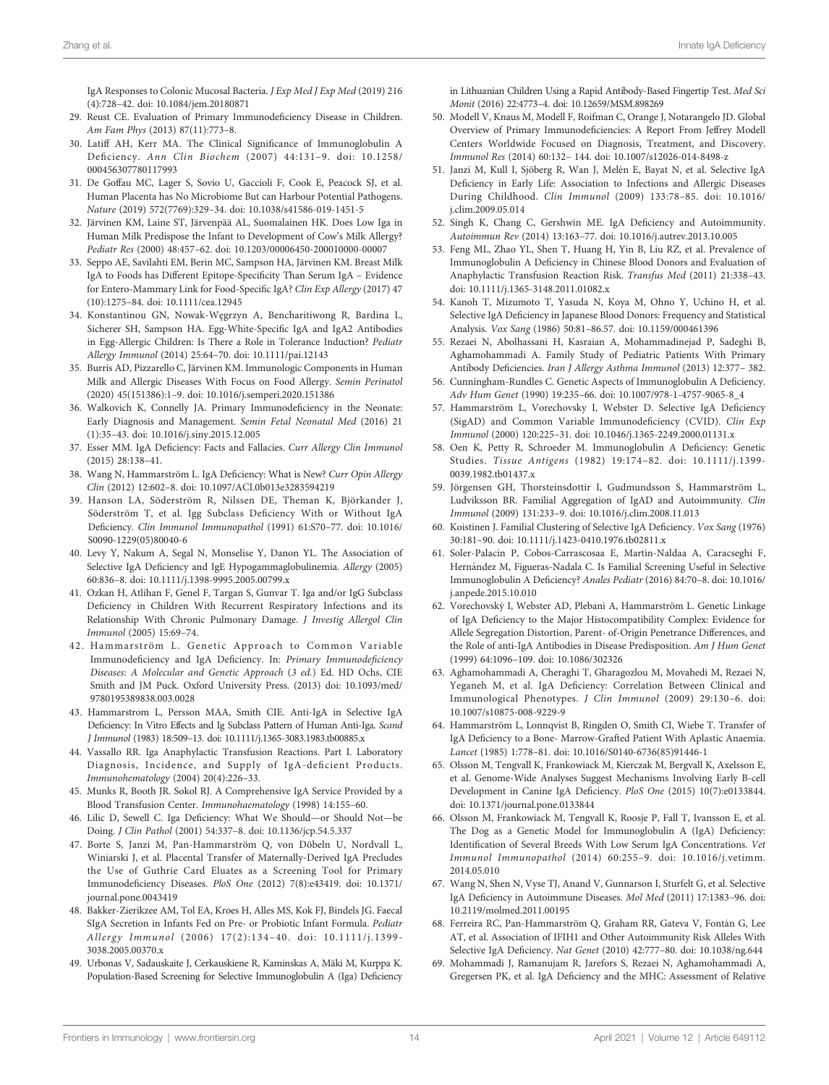<span id="page-13-0"></span>IgA Responses to Colonic Mucosal Bacteria. J Exp Med J Exp Med (2019) 216 (4):728–42. doi: [10.1084/jem.20180871](https://doi.org/10.1084/jem.20180871)

- 29. Reust CE. Evaluation of Primary Immunodeficiency Disease in Children. Am Fam Phys (2013) 87(11):773–8.
- 30. Latiff AH, Kerr MA. The Clinical Significance of Immunoglobulin A Deficiency. Ann Clin Biochem (2007) 44:131–9. doi: [10.1258/](https://doi.org/10.1258/000456307780117993) [000456307780117993](https://doi.org/10.1258/000456307780117993)
- 31. De Goffau MC, Lager S, Sovio U, Gaccioli F, Cook E, Peacock SJ, et al. Human Placenta has No Microbiome But can Harbour Potential Pathogens. Nature (2019) 572(7769):329–34. doi: [10.1038/s41586-019-1451-5](https://doi.org/10.1038/s41586-019-1451-5)
- 32. Järvinen KM, Laine ST, Järvenpää AL, Suomalainen HK. Does Low Iga in Human Milk Predispose the Infant to Development of Cow's Milk Allergy? Pediatr Res (2000) 48:457–62. doi: [10.1203/00006450-200010000-00007](https://doi.org/10.1203/00006450-200010000-00007)
- 33. Seppo AE, Savilahti EM, Berin MC, Sampson HA, Järvinen KM. Breast Milk IgA to Foods has Different Epitope-Specificity Than Serum IgA – Evidence for Entero-Mammary Link for Food-Specific IgA? Clin Exp Allergy (2017) 47 (10):1275–84. doi: [10.1111/cea.12945](https://doi.org/10.1111/cea.12945)
- 34. Konstantinou GN, Nowak-Węgrzyn A, Bencharitiwong R, Bardina L, Sicherer SH, Sampson HA. Egg-White-Specific IgA and IgA2 Antibodies in Egg-Allergic Children: Is There a Role in Tolerance Induction? Pediatr Allergy Immunol (2014) 25:64–70. doi: [10.1111/pai.12143](https://doi.org/10.1111/pai.12143)
- 35. Burris AD, Pizzarello C, Järvinen KM. Immunologic Components in Human Milk and Allergic Diseases With Focus on Food Allergy. Semin Perinatol (2020) 45(151386):1–9. doi: [10.1016/j.semperi.2020.151386](https://doi.org/10.1016/j.semperi.2020.151386)
- 36. Walkovich K, Connelly JA. Primary Immunodeficiency in the Neonate: Early Diagnosis and Management. Semin Fetal Neonatal Med (2016) 21 (1):35–43. doi: [10.1016/j.siny.2015.12.005](https://doi.org/10.1016/j.siny.2015.12.005)
- 37. Esser MM. IgA Deficiency: Facts and Fallacies. Curr Allergy Clin Immunol (2015) 28:138–41.
- 38. Wang N, Hammarström L. IgA Deficiency: What is New? Curr Opin Allergy Clin (2012) 12:602–8. doi: [10.1097/ACI.0b013e3283594219](https://doi.org/10.1097/ACI.0b013e3283594219)
- 39. Hanson LA, Söderström R, Nilssen DE, Theman K, Björkander J, Söderström T, et al. Igg Subclass Deficiency With or Without IgA Deficiency. Clin Immunol Immunopathol (1991) 61:S70–77. doi: [10.1016/](https://doi.org/10.1016/S0090-1229(05)80040-6) [S0090-1229\(05\)80040-6](https://doi.org/10.1016/S0090-1229(05)80040-6)
- 40. Levy Y, Nakum A, Segal N, Monselise Y, Danon YL. The Association of Selective IgA Deficiency and IgE Hypogammaglobulinemia. Allergy (2005) 60:836–8. doi: [10.1111/j.1398-9995.2005.00799.x](https://doi.org/10.1111/j.1398-9995.2005.00799.x)
- 41. Ozkan H, Atlihan F, Genel F, Targan S, Gunvar T. Iga and/or IgG Subclass Deficiency in Children With Recurrent Respiratory Infections and its Relationship With Chronic Pulmonary Damage. J Investig Allergol Clin Immunol (2005) 15:69–74.
- 42. Hammarström L. Genetic Approach to Common Variable Immunodeficiency and IgA Deficiency. In: Primary Immunodeficiency Diseases: A Molecular and Genetic Approach (3 ed.) Ed. HD Ochs, CIE Smith and JM Puck. Oxford University Press. (2013) doi: [10.1093/med/](https://doi.org/10.1093/med/9780195389838.003.0028) [9780195389838.003.0028](https://doi.org/10.1093/med/9780195389838.003.0028)
- 43. Hammarstrom L, Persson MAA, Smith CIE. Anti-IgA in Selective IgA Deficiency: In Vitro Effects and Ig Subclass Pattern of Human Anti-Iga. Scand J Immunol (1983) 18:509–13. doi: [10.1111/j.1365-3083.1983.tb00885.x](https://doi.org/10.1111/j.1365-3083.1983.tb00885.x)
- 44. Vassallo RR. Iga Anaphylactic Transfusion Reactions. Part I. Laboratory Diagnosis, Incidence, and Supply of IgA-deficient Products. Immunohematology (2004) 20(4):226–33.
- 45. Munks R, Booth JR. Sokol RJ. A Comprehensive IgA Service Provided by a Blood Transfusion Center. Immunohaematology (1998) 14:155–60.
- 46. Lilic D, Sewell C. Iga Deficiency: What We Should—or Should Not—be Doing. J Clin Pathol (2001) 54:337–8. doi: [10.1136/jcp.54.5.337](https://doi.org/10.1136/jcp.54.5.337)
- 47. Borte S, Janzi M, Pan-Hammarström Q, von Döbeln U, Nordvall L, Winiarski J, et al. Placental Transfer of Maternally-Derived IgA Precludes the Use of Guthrie Card Eluates as a Screening Tool for Primary Immunodeficiency Diseases. PloS One (2012) 7(8):e43419. doi: [10.1371/](https://doi.org/10.1371/journal.pone.0043419) [journal.pone.0043419](https://doi.org/10.1371/journal.pone.0043419)
- 48. Bakker-Zierikzee AM, Tol EA, Kroes H, Alles MS, Kok FJ, Bindels JG. Faecal SIgA Secretion in Infants Fed on Pre- or Probiotic Infant Formula. Pediatr Allergy Immunol (2006) 17(2):134–40. doi: [10.1111/j.1399-](https://doi.org/10.1111/j.1399-3038.2005.00370.x) [3038.2005.00370.x](https://doi.org/10.1111/j.1399-3038.2005.00370.x)
- 49. Urbonas V, Sadauskaite J, Cerkauskiene R, Kaminskas A, Mäki M, Kurppa K. Population-Based Screening for Selective Immunoglobulin A (Iga) Deficiency

in Lithuanian Children Using a Rapid Antibody-Based Fingertip Test. Med Sci Monit (2016) 22:4773–4. doi: [10.12659/MSM.898269](https://doi.org/10.12659/MSM.898269)

- 50. Modell V, Knaus M, Modell F, Roifman C, Orange J, Notarangelo JD. Global Overview of Primary Immunodeficiencies: A Report From Jeffrey Modell Centers Worldwide Focused on Diagnosis, Treatment, and Discovery. Immunol Res (2014) 60:132– 144. doi: [10.1007/s12026-014-8498-z](https://doi.org/10.1007/s12026-014-8498-z)
- 51. Janzi M, Kull I, Sjöberg R, Wan J, Melén E, Bayat N, et al. Selective IgA Deficiency in Early Life: Association to Infections and Allergic Diseases During Childhood. Clin Immunol (2009) 133:78–85. doi: [10.1016/](https://doi.org/10.1016/j.clim.2009.05.014) [j.clim.2009.05.014](https://doi.org/10.1016/j.clim.2009.05.014)
- 52. Singh K, Chang C, Gershwin ME. IgA Deficiency and Autoimmunity. Autoimmun Rev (2014) 13:163–77. doi: [10.1016/j.autrev.2013.10.005](https://doi.org/10.1016/j.autrev.2013.10.005)
- 53. Feng ML, Zhao YL, Shen T, Huang H, Yin B, Liu RZ, et al. Prevalence of Immunoglobulin A Deficiency in Chinese Blood Donors and Evaluation of Anaphylactic Transfusion Reaction Risk. Transfus Med (2011) 21:338–43. doi: [10.1111/j.1365-3148.2011.01082.x](https://doi.org/10.1111/j.1365-3148.2011.01082.x)
- 54. Kanoh T, Mizumoto T, Yasuda N, Koya M, Ohno Y, Uchino H, et al. Selective IgA Deficiency in Japanese Blood Donors: Frequency and Statistical Analysis. Vox Sang (1986) 50:81–86.57. doi: [10.1159/000461396](https://doi.org/10.1159/000461396)
- 55. Rezaei N, Abolhassani H, Kasraian A, Mohammadinejad P, Sadeghi B, Aghamohammadi A. Family Study of Pediatric Patients With Primary Antibody Deficiencies. Iran J Allergy Asthma Immunol (2013) 12:377– 382.
- 56. Cunningham-Rundles C. Genetic Aspects of Immunoglobulin A Deficiency. Adv Hum Genet (1990) 19:235–66. doi: [10.1007/978-1-4757-9065-8\\_4](https://doi.org/10.1007/978-1-4757-9065-8_4)
- 57. Hammarström L, Vorechovsky I, Webster D. Selective IgA Deficiency (SigAD) and Common Variable Immunodeficiency (CVID). Clin Exp Immunol (2000) 120:225–31. doi: [10.1046/j.1365-2249.2000.01131.x](https://doi.org/10.1046/j.1365-2249.2000.01131.x)
- 58. Oen K, Petty R, Schroeder M. Immunoglobulin A Deficiency: Genetic Studies. Tissue Antigens (1982) 19:174–82. doi: [10.1111/j.1399-](https://doi.org/10.1111/j.1399-0039.1982.tb01437.x) [0039.1982.tb01437.x](https://doi.org/10.1111/j.1399-0039.1982.tb01437.x)
- 59. Jörgensen GH, Thorsteinsdottir I, Gudmundsson S, Hammarström L, Ludviksson BR. Familial Aggregation of IgAD and Autoimmunity. Clin Immunol (2009) 131:233–9. doi: [10.1016/j.clim.2008.11.013](https://doi.org/10.1016/j.clim.2008.11.013)
- 60. Koistinen J. Familial Clustering of Selective IgA Deficiency. Vox Sang (1976) 30:181–90. doi: [10.1111/j.1423-0410.1976.tb02811.x](https://doi.org/10.1111/j.1423-0410.1976.tb02811.x)
- 61. Soler-Palacín P, Cobos-Carrascosaa E, Martín-Naldaa A, Caracseghi F, Hernández M, Figueras-Nadala C. Is Familial Screening Useful in Selective Immunoglobulin A Deficiency? Anales Pediatr (2016) 84:70–8. doi: [10.1016/](https://doi.org/10.1016/j.anpede.2015.10.010) [j.anpede.2015.10.010](https://doi.org/10.1016/j.anpede.2015.10.010)
- 62. Vorechovský I, Webster AD, Plebani A, Hammarström L. Genetic Linkage of IgA Deficiency to the Major Histocompatibility Complex: Evidence for Allele Segregation Distortion, Parent- of-Origin Penetrance Differences, and the Role of anti-IgA Antibodies in Disease Predisposition. Am J Hum Genet (1999) 64:1096–109. doi: [10.1086/302326](https://doi.org/10.1086/302326)
- 63. Aghamohammadi A, Cheraghi T, Gharagozlou M, Movahedi M, Rezaei N, Yeganeh M, et al. IgA Deficiency: Correlation Between Clinical and Immunological Phenotypes. J Clin Immunol (2009) 29:130–6. doi: [10.1007/s10875-008-9229-9](https://doi.org/10.1007/s10875-008-9229-9)
- 64. Hammarström L, Lonnqvist B, Ringden O, Smith CI, Wiebe T. Transfer of IgA Deficiency to a Bone- Marrow-Grafted Patient With Aplastic Anaemia. Lancet (1985) 1:778–81. doi: [10.1016/S0140-6736\(85\)91446-1](https://doi.org/10.1016/S0140-6736(85)91446-1)
- 65. Olsson M, Tengvall K, Frankowiack M, Kierczak M, Bergvall K, Axelsson E, et al. Genome-Wide Analyses Suggest Mechanisms Involving Early B-cell Development in Canine IgA Deficiency. PloS One (2015) 10(7):e0133844. doi: [10.1371/journal.pone.0133844](https://doi.org/10.1371/journal.pone.0133844)
- 66. Olsson M, Frankowiack M, Tengvall K, Roosje P, Fall T, Ivansson E, et al. The Dog as a Genetic Model for Immunoglobulin A (IgA) Deficiency: Identification of Several Breeds With Low Serum IgA Concentrations. Vet Immunol Immunopathol (2014) 60:255–9. doi: [10.1016/j.vetimm.](https://doi.org/10.1016/j.vetimm.2014.05.010) [2014.05.010](https://doi.org/10.1016/j.vetimm.2014.05.010)
- 67. Wang N, Shen N, Vyse TJ, Anand V, Gunnarson I, Sturfelt G, et al. Selective IgA Deficiency in Autoimmune Diseases. Mol Med (2011) 17:1383–96. doi: [10.2119/molmed.2011.00195](https://doi.org/10.2119/molmed.2011.00195)
- 68. Ferreira RC, Pan-Hammarström Q, Graham RR, Gateva V, Fontán G, Lee AT, et al. Association of IFIH1 and Other Autoimmunity Risk Alleles With Selective IgA Deficiency. Nat Genet (2010) 42:777–80. doi: [10.1038/ng.644](https://doi.org/10.1038/ng.644)
- 69. Mohammadi J, Ramanujam R, Jarefors S, Rezaei N, Aghamohammadi A, Gregersen PK, et al. IgA Deficiency and the MHC: Assessment of Relative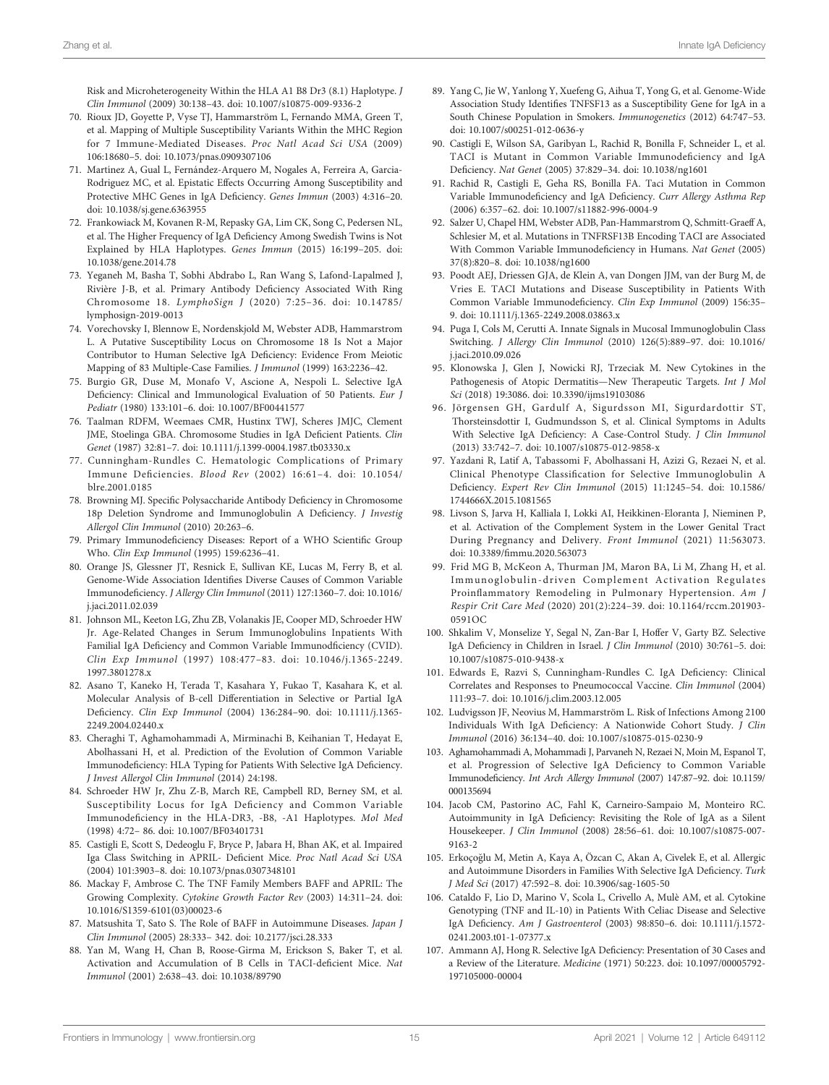<span id="page-14-0"></span>Risk and Microheterogeneity Within the HLA A1 B8 Dr3 (8.1) Haplotype. J Clin Immunol (2009) 30:138–43. doi: [10.1007/s10875-009-9336-2](https://doi.org/10.1007/s10875-009-9336-2)

- 70. Rioux JD, Goyette P, Vyse TJ, Hammarström L, Fernando MMA, Green T, et al. Mapping of Multiple Susceptibility Variants Within the MHC Region for 7 Immune-Mediated Diseases. Proc Natl Acad Sci USA (2009) 106:18680–5. doi: [10.1073/pnas.0909307106](https://doi.org/10.1073/pnas.0909307106)
- 71. Martínez A, Gual L, Fernández-Arquero M, Nogales A, Ferreira A, Garcia-Rodriguez MC, et al. Epistatic Effects Occurring Among Susceptibility and Protective MHC Genes in IgA Deficiency. Genes Immun (2003) 4:316–20. doi: [10.1038/sj.gene.6363955](https://doi.org/10.1038/sj.gene.6363955)
- 72. Frankowiack M, Kovanen R-M, Repasky GA, Lim CK, Song C, Pedersen NL, et al. The Higher Frequency of IgA Deficiency Among Swedish Twins is Not Explained by HLA Haplotypes. Genes Immun (2015) 16:199–205. doi: [10.1038/gene.2014.78](https://doi.org/10.1038/gene.2014.78)
- 73. Yeganeh M, Basha T, Sobhi Abdrabo L, Ran Wang S, Lafond-Lapalmed J, Rivière J-B, et al. Primary Antibody Deficiency Associated With Ring Chromosome 18. LymphoSign J (2020) 7:25–36. doi: [10.14785/](https://doi.org/10.14785/lymphosign-2019-0013) [lymphosign-2019-0013](https://doi.org/10.14785/lymphosign-2019-0013)
- 74. Vorechovsky I, Blennow E, Nordenskjold M, Webster ADB, Hammarstrom L. A Putative Susceptibility Locus on Chromosome 18 Is Not a Major Contributor to Human Selective IgA Deficiency: Evidence From Meiotic Mapping of 83 Multiple-Case Families. J Immunol (1999) 163:2236–42.
- 75. Burgio GR, Duse M, Monafo V, Ascione A, Nespoli L. Selective IgA Deficiency: Clinical and Immunological Evaluation of 50 Patients. Eur J Pediatr (1980) 133:101–6. doi: [10.1007/BF00441577](https://doi.org/10.1007/BF00441577)
- 76. Taalman RDFM, Weemaes CMR, Hustinx TWJ, Scheres JMJC, Clement JME, Stoelinga GBA. Chromosome Studies in IgA Deficient Patients. Clin Genet (1987) 32:81–7. doi: [10.1111/j.1399-0004.1987.tb03330.x](https://doi.org/10.1111/j.1399-0004.1987.tb03330.x)
- 77. Cunningham-Rundles C. Hematologic Complications of Primary Immune Deficiencies. Blood Rev (2002) 16:61–4. doi: [10.1054/](https://doi.org/10.1054/blre.2001.0185) [blre.2001.0185](https://doi.org/10.1054/blre.2001.0185)
- 78. Browning MJ. Specific Polysaccharide Antibody Deficiency in Chromosome 18p Deletion Syndrome and Immunoglobulin A Deficiency. J Investig Allergol Clin Immunol (2010) 20:263–6.
- 79. Primary Immunodeficiency Diseases: Report of a WHO Scientific Group Who. Clin Exp Immunol (1995) 159:6236–41.
- 80. Orange JS, Glessner JT, Resnick E, Sullivan KE, Lucas M, Ferry B, et al. Genome-Wide Association Identifies Diverse Causes of Common Variable Immunodeficiency. J Allergy Clin Immunol (2011) 127:1360–7. doi: [10.1016/](https://doi.org/10.1016/j.jaci.2011.02.039) [j.jaci.2011.02.039](https://doi.org/10.1016/j.jaci.2011.02.039)
- 81. Johnson ML, Keeton LG, Zhu ZB, Volanakis JE, Cooper MD, Schroeder HW Jr. Age-Related Changes in Serum Immunoglobulins Inpatients With Familial IgA Deficiency and Common Variable Immunodficiency (CVID). Clin Exp Immunol (1997) 108:477–83. doi: [10.1046/j.1365-2249.](https://doi.org/10.1046/j.1365-2249.1997.3801278.x) [1997.3801278.x](https://doi.org/10.1046/j.1365-2249.1997.3801278.x)
- 82. Asano T, Kaneko H, Terada T, Kasahara Y, Fukao T, Kasahara K, et al. Molecular Analysis of B-cell Differentiation in Selective or Partial IgA Deficiency. Clin Exp Immunol (2004) 136:284–90. doi: [10.1111/j.1365-](https://doi.org/10.1111/j.1365-2249.2004.02440.x) [2249.2004.02440.x](https://doi.org/10.1111/j.1365-2249.2004.02440.x)
- 83. Cheraghi T, Aghamohammadi A, Mirminachi B, Keihanian T, Hedayat E, Abolhassani H, et al. Prediction of the Evolution of Common Variable Immunodeficiency: HLA Typing for Patients With Selective IgA Deficiency. J Invest Allergol Clin Immunol (2014) 24:198.
- 84. Schroeder HW Jr, Zhu Z-B, March RE, Campbell RD, Berney SM, et al. Susceptibility Locus for IgA Deficiency and Common Variable Immunodeficiency in the HLA-DR3, -B8, -A1 Haplotypes. Mol Med (1998) 4:72– 86. doi: [10.1007/BF03401731](https://doi.org/10.1007/BF03401731)
- 85. Castigli E, Scott S, Dedeoglu F, Bryce P, Jabara H, Bhan AK, et al. Impaired Iga Class Switching in APRIL- Deficient Mice. Proc Natl Acad Sci USA (2004) 101:3903–8. doi: [10.1073/pnas.0307348101](https://doi.org/10.1073/pnas.0307348101)
- 86. Mackay F, Ambrose C. The TNF Family Members BAFF and APRIL: The Growing Complexity. Cytokine Growth Factor Rev (2003) 14:311–24. doi: [10.1016/S1359-6101\(03\)00023-6](https://doi.org/10.1016/S1359-6101(03)00023-6)
- 87. Matsushita T, Sato S. The Role of BAFF in Autoimmune Diseases. Japan J Clin Immunol (2005) 28:333– 342. doi: [10.2177/jsci.28.333](https://doi.org/10.2177/jsci.28.333)
- 88. Yan M, Wang H, Chan B, Roose-Girma M, Erickson S, Baker T, et al. Activation and Accumulation of B Cells in TACI-deficient Mice. Nat Immunol (2001) 2:638–43. doi: [10.1038/89790](https://doi.org/10.1038/89790)
- 89. Yang C, Jie W, Yanlong Y, Xuefeng G, Aihua T, Yong G, et al. Genome-Wide Association Study Identifies TNFSF13 as a Susceptibility Gene for IgA in a South Chinese Population in Smokers. Immunogenetics (2012) 64:747–53. doi: [10.1007/s00251-012-0636-y](https://doi.org/10.1007/s00251-012-0636-y)
- 90. Castigli E, Wilson SA, Garibyan L, Rachid R, Bonilla F, Schneider L, et al. TACI is Mutant in Common Variable Immunodeficiency and IgA Deficiency. Nat Genet (2005) 37:829–34. doi: [10.1038/ng1601](https://doi.org/10.1038/ng1601)
- 91. Rachid R, Castigli E, Geha RS, Bonilla FA. Taci Mutation in Common Variable Immunodeficiency and IgA Deficiency. Curr Allergy Asthma Rep (2006) 6:357–62. doi: [10.1007/s11882-996-0004-9](https://doi.org/10.1007/s11882-996-0004-9)
- 92. Salzer U, Chapel HM, Webster ADB, Pan-Hammarstrom Q, Schmitt-Graeff A, Schlesier M, et al. Mutations in TNFRSF13B Encoding TACI are Associated With Common Variable Immunodeficiency in Humans. Nat Genet (2005) 37(8):820–8. doi: [10.1038/ng1600](https://doi.org/10.1038/ng1600)
- 93. Poodt AEJ, Driessen GJA, de Klein A, van Dongen JJM, van der Burg M, de Vries E. TACI Mutations and Disease Susceptibility in Patients With Common Variable Immunodeficiency. Clin Exp Immunol (2009) 156:35– 9. doi: [10.1111/j.1365-2249.2008.03863.x](https://doi.org/10.1111/j.1365-2249.2008.03863.x)
- 94. Puga I, Cols M, Cerutti A. Innate Signals in Mucosal Immunoglobulin Class Switching. J Allergy Clin Immunol (2010) 126(5):889–97. doi: [10.1016/](https://doi.org/10.1016/j.jaci.2010.09.026) [j.jaci.2010.09.026](https://doi.org/10.1016/j.jaci.2010.09.026)
- 95. Klonowska J, Glen J, Nowicki RJ, Trzeciak M. New Cytokines in the Pathogenesis of Atopic Dermatitis—New Therapeutic Targets. Int J Mol Sci (2018) 19:3086. doi: [10.3390/ijms19103086](https://doi.org/10.3390/ijms19103086)
- 96. Jörgensen GH, Gardulf A, Sigurdsson MI, Sigurdardottir ST, Thorsteinsdottir I, Gudmundsson S, et al. Clinical Symptoms in Adults With Selective IgA Deficiency: A Case-Control Study. J Clin Immunol (2013) 33:742–7. doi: [10.1007/s10875-012-9858-x](https://doi.org/10.1007/s10875-012-9858-x)
- 97. Yazdani R, Latif A, Tabassomi F, Abolhassani H, Azizi G, Rezaei N, et al. Clinical Phenotype Classification for Selective Immunoglobulin A Deficiency. Expert Rev Clin Immunol (2015) 11:1245–54. doi: [10.1586/](https://doi.org/10.1586/1744666X.2015.1081565) [1744666X.2015.1081565](https://doi.org/10.1586/1744666X.2015.1081565)
- 98. Livson S, Jarva H, Kalliala I, Lokki AI, Heikkinen-Eloranta J, Nieminen P, et al. Activation of the Complement System in the Lower Genital Tract During Pregnancy and Delivery. Front Immunol (2021) 11:563073. doi: 10.3389/fi[mmu.2020.563073](https://doi.org/10.3389/fimmu.2020.563073)
- 99. Frid MG B, McKeon A, Thurman JM, Maron BA, Li M, Zhang H, et al. Immunoglobulin-driven Complement Activation Regulates Proinflammatory Remodeling in Pulmonary Hypertension. Am J Respir Crit Care Med (2020) 201(2):224–39. doi: [10.1164/rccm.201903-](https://doi.org/10.1164/rccm.201903-0591OC) [0591OC](https://doi.org/10.1164/rccm.201903-0591OC)
- 100. Shkalim V, Monselize Y, Segal N, Zan-Bar I, Hoffer V, Garty BZ. Selective IgA Deficiency in Children in Israel. J Clin Immunol (2010) 30:761–5. doi: [10.1007/s10875-010-9438-x](https://doi.org/10.1007/s10875-010-9438-x)
- 101. Edwards E, Razvi S, Cunningham-Rundles C. IgA Deficiency: Clinical Correlates and Responses to Pneumococcal Vaccine. Clin Immunol (2004) 111:93–7. doi: [10.1016/j.clim.2003.12.005](https://doi.org/10.1016/j.clim.2003.12.005)
- 102. Ludvigsson JF, Neovius M, Hammarström L. Risk of Infections Among 2100 Individuals With IgA Deficiency: A Nationwide Cohort Study. J Clin Immunol (2016) 36:134–40. doi: [10.1007/s10875-015-0230-9](https://doi.org/10.1007/s10875-015-0230-9)
- 103. Aghamohammadi A, Mohammadi J, Parvaneh N, Rezaei N, Moin M, Espanol T, et al. Progression of Selective IgA Deficiency to Common Variable Immunodeficiency. Int Arch Allergy Immunol (2007) 147:87–92. doi: [10.1159/](https://doi.org/10.1159/000135694) [000135694](https://doi.org/10.1159/000135694)
- 104. Jacob CM, Pastorino AC, Fahl K, Carneiro-Sampaio M, Monteiro RC. Autoimmunity in IgA Deficiency: Revisiting the Role of IgA as a Silent Housekeeper. J Clin Immunol (2008) 28:56–61. doi: [10.1007/s10875-007-](https://doi.org/10.1007/s10875-007-9163-2) [9163-2](https://doi.org/10.1007/s10875-007-9163-2)
- 105. Erkoçoğlu M, Metin A, Kaya A, Özcan C, Akan A, Civelek E, et al. Allergic and Autoimmune Disorders in Families With Selective IgA Deficiency. Turk J Med Sci (2017) 47:592–8. doi: [10.3906/sag-1605-50](https://doi.org/10.3906/sag-1605-50)
- 106. Cataldo F, Lio D, Marino V, Scola L, Crivello A, Mulè AM, et al. Cytokine Genotyping (TNF and IL-10) in Patients With Celiac Disease and Selective IgA Deficiency. Am J Gastroenterol (2003) 98:850–6. doi: [10.1111/j.1572-](https://doi.org/10.1111/j.1572-0241.2003.t01-1-07377.x) [0241.2003.t01-1-07377.x](https://doi.org/10.1111/j.1572-0241.2003.t01-1-07377.x)
- 107. Ammann AJ, Hong R. Selective IgA Deficiency: Presentation of 30 Cases and a Review of the Literature. Medicine (1971) 50:223. doi: [10.1097/00005792-](https://doi.org/10.1097/00005792-197105000-00004) [197105000-00004](https://doi.org/10.1097/00005792-197105000-00004)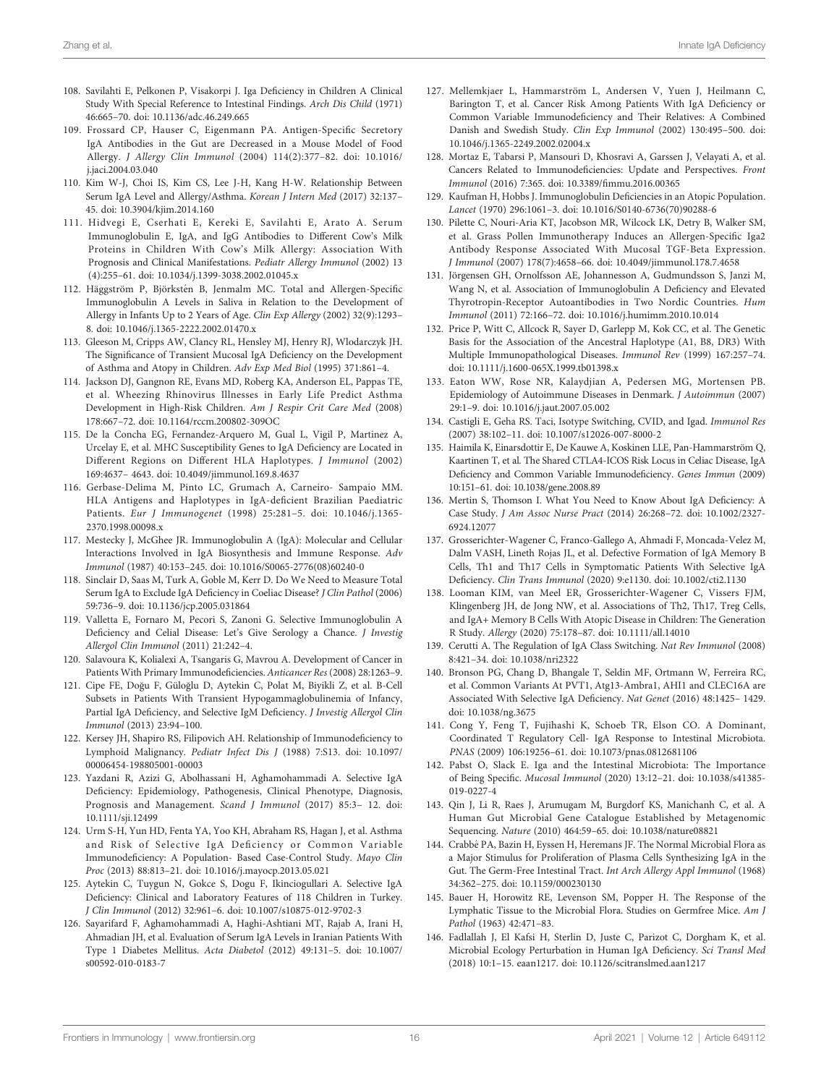- <span id="page-15-0"></span>108. Savilahti E, Pelkonen P, Visakorpi J. Iga Deficiency in Children A Clinical Study With Special Reference to Intestinal Findings. Arch Dis Child (1971) 46:665–70. doi: [10.1136/adc.46.249.665](https://doi.org/10.1136/adc.46.249.665)
- 109. Frossard CP, Hauser C, Eigenmann PA. Antigen-Specific Secretory IgA Antibodies in the Gut are Decreased in a Mouse Model of Food Allergy. J Allergy Clin Immunol (2004) 114(2):377–82. doi: [10.1016/](https://doi.org/10.1016/j.jaci.2004.03.040) [j.jaci.2004.03.040](https://doi.org/10.1016/j.jaci.2004.03.040)
- 110. Kim W-J, Choi IS, Kim CS, Lee J-H, Kang H-W. Relationship Between Serum IgA Level and Allergy/Asthma. Korean J Intern Med (2017) 32:137– 45. doi: [10.3904/kjim.2014.160](https://doi.org/10.3904/kjim.2014.160)
- 111. Hidvegi E, Cserhati E, Kereki E, Savilahti E, Arato A. Serum Immunoglobulin E, IgA, and IgG Antibodies to Different Cow's Milk Proteins in Children With Cow's Milk Allergy: Association With Prognosis and Clinical Manifestations. Pediatr Allergy Immunol (2002) 13 (4):255–61. doi: [10.1034/j.1399-3038.2002.01045.x](https://doi.org/10.1034/j.1399-3038.2002.01045.x)
- 112. Häggström P, Björkstén B, Jenmalm MC. Total and Allergen-Specific Immunoglobulin A Levels in Saliva in Relation to the Development of Allergy in Infants Up to 2 Years of Age. Clin Exp Allergy (2002) 32(9):1293– 8. doi: [10.1046/j.1365-2222.2002.01470.x](https://doi.org/10.1046/j.1365-2222.2002.01470.x)
- 113. Gleeson M, Cripps AW, Clancy RL, Hensley MJ, Henry RJ, Wlodarczyk JH. The Significance of Transient Mucosal IgA Deficiency on the Development of Asthma and Atopy in Children. Adv Exp Med Biol (1995) 371:861–4.
- 114. Jackson DJ, Gangnon RE, Evans MD, Roberg KA, Anderson EL, Pappas TE, et al. Wheezing Rhinovirus Illnesses in Early Life Predict Asthma Development in High-Risk Children. Am J Respir Crit Care Med (2008) 178:667–72. doi: [10.1164/rccm.200802-309OC](https://doi.org/10.1164/rccm.200802-309OC)
- 115. De la Concha EG, Fernandez-Arquero M, Gual L, Vigil P, Martinez A, Urcelay E, et al. MHC Susceptibility Genes to IgA Deficiency are Located in Different Regions on Different HLA Haplotypes. J Immunol (2002) 169:4637– 4643. doi: [10.4049/jimmunol.169.8.4637](https://doi.org/10.4049/jimmunol.169.8.4637)
- 116. Gerbase-Delima M, Pinto LC, Grumach A, Carneiro- Sampaio MM. HLA Antigens and Haplotypes in IgA-deficient Brazilian Paediatric Patients. Eur J Immunogenet (1998) 25:281–5. doi: [10.1046/j.1365-](https://doi.org/10.1046/j.1365-2370.1998.00098.x) [2370.1998.00098.x](https://doi.org/10.1046/j.1365-2370.1998.00098.x)
- 117. Mestecky J, McGhee JR. Immunoglobulin A (IgA): Molecular and Cellular Interactions Involved in IgA Biosynthesis and Immune Response. Adv Immunol (1987) 40:153–245. doi: [10.1016/S0065-2776\(08\)60240-0](https://doi.org/10.1016/S0065-2776(08)60240-0)
- 118. Sinclair D, Saas M, Turk A, Goble M, Kerr D. Do We Need to Measure Total Serum IgA to Exclude IgA Deficiency in Coeliac Disease? J Clin Pathol (2006) 59:736–9. doi: [10.1136/jcp.2005.031864](https://doi.org/10.1136/jcp.2005.031864)
- 119. Valletta E, Fornaro M, Pecori S, Zanoni G. Selective Immunoglobulin A Deficiency and Celial Disease: Let's Give Serology a Chance. J Investig Allergol Clin Immunol (2011) 21:242–4.
- 120. Salavoura K, Kolialexi A, Tsangaris G, Mavrou A. Development of Cancer in Patients With Primary Immunodeficiencies. Anticancer Res (2008) 28:1263–9.
- 121. Cipe FE, Doğu F, Güloğlu D, Aytekin C, Polat M, Biyikli Z, et al. B-Cell Subsets in Patients With Transient Hypogammaglobulinemia of Infancy, Partial IgA Deficiency, and Selective IgM Deficiency. J Investig Allergol Clin Immunol (2013) 23:94–100.
- 122. Kersey JH, Shapiro RS, Filipovich AH. Relationship of Immunodeficiency to Lymphoid Malignancy. Pediatr Infect Dis J (1988) 7:S13. doi: [10.1097/](https://doi.org/10.1097/00006454-198805001-00003) [00006454-198805001-00003](https://doi.org/10.1097/00006454-198805001-00003)
- 123. Yazdani R, Azizi G, Abolhassani H, Aghamohammadi A. Selective IgA Deficiency: Epidemiology, Pathogenesis, Clinical Phenotype, Diagnosis, Prognosis and Management. Scand J Immunol (2017) 85:3– 12. doi: [10.1111/sji.12499](https://doi.org/10.1111/sji.12499)
- 124. Urm S-H, Yun HD, Fenta YA, Yoo KH, Abraham RS, Hagan J, et al. Asthma and Risk of Selective IgA Deficiency or Common Variable Immunodeficiency: A Population- Based Case-Control Study. Mayo Clin Proc (2013) 88:813–21. doi: [10.1016/j.mayocp.2013.05.021](https://doi.org/10.1016/j.mayocp.2013.05.021)
- 125. Aytekin C, Tuygun N, Gokce S, Dogu F, Ikinciogullari A. Selective IgA Deficiency: Clinical and Laboratory Features of 118 Children in Turkey. J Clin Immunol (2012) 32:961–6. doi: [10.1007/s10875-012-9702-3](https://doi.org/10.1007/s10875-012-9702-3)
- 126. Sayarifard F, Aghamohammadi A, Haghi-Ashtiani MT, Rajab A, Irani H, Ahmadian JH, et al. Evaluation of Serum IgA Levels in Iranian Patients With Type 1 Diabetes Mellitus. Acta Diabetol (2012) 49:131–5. doi: [10.1007/](https://doi.org/10.1007/s00592-010-0183-7) [s00592-010-0183-7](https://doi.org/10.1007/s00592-010-0183-7)
- 127. Mellemkjaer L, Hammarström L, Andersen V, Yuen J, Heilmann C, Barington T, et al. Cancer Risk Among Patients With IgA Deficiency or Common Variable Immunodeficiency and Their Relatives: A Combined Danish and Swedish Study. Clin Exp Immunol (2002) 130:495–500. doi: [10.1046/j.1365-2249.2002.02004.x](https://doi.org/10.1046/j.1365-2249.2002.02004.x)
- 128. Mortaz E, Tabarsi P, Mansouri D, Khosravi A, Garssen J, Velayati A, et al. Cancers Related to Immunodeficiencies: Update and Perspectives. Front Immunol (2016) 7:365. doi: 10.3389/fi[mmu.2016.00365](https://doi.org/10.3389/fimmu.2016.00365)
- 129. Kaufman H, Hobbs J. Immunoglobulin Deficiencies in an Atopic Population. Lancet (1970) 296:1061–3. doi: [10.1016/S0140-6736\(70\)90288-6](https://doi.org/10.1016/S0140-6736(70)90288-6)
- 130. Pilette C, Nouri-Aria KT, Jacobson MR, Wilcock LK, Detry B, Walker SM, et al. Grass Pollen Immunotherapy Induces an Allergen-Specific Iga2 Antibody Response Associated With Mucosal TGF-Beta Expression. J Immunol (2007) 178(7):4658–66. doi: [10.4049/jimmunol.178.7.4658](https://doi.org/10.4049/jimmunol.178.7.4658)
- 131. Jörgensen GH, Ornolfsson AE, Johannesson A, Gudmundsson S, Janzi M, Wang N, et al. Association of Immunoglobulin A Deficiency and Elevated Thyrotropin-Receptor Autoantibodies in Two Nordic Countries. Hum Immunol (2011) 72:166–72. doi: [10.1016/j.humimm.2010.10.014](https://doi.org/10.1016/j.humimm.2010.10.014)
- 132. Price P, Witt C, Allcock R, Sayer D, Garlepp M, Kok CC, et al. The Genetic Basis for the Association of the Ancestral Haplotype (A1, B8, DR3) With Multiple Immunopathological Diseases. Immunol Rev (1999) 167:257–74. doi: [10.1111/j.1600-065X.1999.tb01398.x](https://doi.org/10.1111/j.1600-065X.1999.tb01398.x)
- 133. Eaton WW, Rose NR, Kalaydjian A, Pedersen MG, Mortensen PB. Epidemiology of Autoimmune Diseases in Denmark. J Autoimmun (2007) 29:1–9. doi: [10.1016/j.jaut.2007.05.002](https://doi.org/10.1016/j.jaut.2007.05.002)
- 134. Castigli E, Geha RS. Taci, Isotype Switching, CVID, and Igad. Immunol Res (2007) 38:102–11. doi: [10.1007/s12026-007-8000-2](https://doi.org/10.1007/s12026-007-8000-2)
- 135. Haimila K, Einarsdottir E, De Kauwe A, Koskinen LLE, Pan-Hammarström Q, Kaartinen T, et al. The Shared CTLA4-ICOS Risk Locus in Celiac Disease, IgA Deficiency and Common Variable Immunodeficiency. Genes Immun (2009) 10:151–61. doi: [10.1038/gene.2008.89](https://doi.org/10.1038/gene.2008.89)
- 136. Mertin S, Thomson I. What You Need to Know About IgA Deficiency: A Case Study. J Am Assoc Nurse Pract (2014) 26:268–72. doi: [10.1002/2327-](https://doi.org/10.1002/2327-6924.12077) [6924.12077](https://doi.org/10.1002/2327-6924.12077)
- 137. Grosserichter-Wagener C, Franco-Gallego A, Ahmadi F, Moncada-Velez M, Dalm VASH, Lineth Rojas JL, et al. Defective Formation of IgA Memory B Cells, Th1 and Th17 Cells in Symptomatic Patients With Selective IgA Deficiency. Clin Trans Immunol (2020) 9:e1130. doi: [10.1002/cti2.1130](https://doi.org/10.1002/cti2.1130)
- 138. Looman KIM, van Meel ER, Grosserichter-Wagener C, Vissers FJM, Klingenberg JH, de Jong NW, et al. Associations of Th2, Th17, Treg Cells, and IgA+ Memory B Cells With Atopic Disease in Children: The Generation R Study. Allergy (2020) 75:178–87. doi: [10.1111/all.14010](https://doi.org/10.1111/all.14010)
- 139. Cerutti A. The Regulation of IgA Class Switching. Nat Rev Immunol (2008) 8:421–34. doi: [10.1038/nri2322](https://doi.org/10.1038/nri2322)
- 140. Bronson PG, Chang D, Bhangale T, Seldin MF, Ortmann W, Ferreira RC, et al. Common Variants At PVT1, Atg13-Ambra1, AHI1 and CLEC16A are Associated With Selective IgA Deficiency. Nat Genet (2016) 48:1425– 1429. doi: [10.1038/ng.3675](https://doi.org/10.1038/ng.3675)
- 141. Cong Y, Feng T, Fujihashi K, Schoeb TR, Elson CO. A Dominant, Coordinated T Regulatory Cell- IgA Response to Intestinal Microbiota. PNAS (2009) 106:19256–61. doi: [10.1073/pnas.0812681106](https://doi.org/10.1073/pnas.0812681106)
- 142. Pabst O, Slack E. Iga and the Intestinal Microbiota: The Importance of Being Specific. Mucosal Immunol (2020) 13:12–21. doi: [10.1038/s41385-](https://doi.org/10.1038/s41385-019-0227-4) [019-0227-4](https://doi.org/10.1038/s41385-019-0227-4)
- 143. Qin J, Li R, Raes J, Arumugam M, Burgdorf KS, Manichanh C, et al. A Human Gut Microbial Gene Catalogue Established by Metagenomic Sequencing. Nature (2010) 464:59–65. doi: [10.1038/nature08821](https://doi.org/10.1038/nature08821)
- 144. Crabbé PA, Bazin H, Eyssen H, Heremans JF. The Normal Microbial Flora as a Major Stimulus for Proliferation of Plasma Cells Synthesizing IgA in the Gut. The Germ-Free Intestinal Tract. Int Arch Allergy Appl Immunol (1968) 34:362–275. doi: [10.1159/000230130](https://doi.org/10.1159/000230130)
- 145. Bauer H, Horowitz RE, Levenson SM, Popper H. The Response of the Lymphatic Tissue to the Microbial Flora. Studies on Germfree Mice. Am J Pathol (1963) 42:471–83.
- 146. Fadlallah J, El Kafsi H, Sterlin D, Juste C, Parizot C, Dorgham K, et al. Microbial Ecology Perturbation in Human IgA Deficiency. Sci Transl Med (2018) 10:1–15. eaan1217. doi: [10.1126/scitranslmed.aan1217](https://doi.org/10.1126/scitranslmed.aan1217)